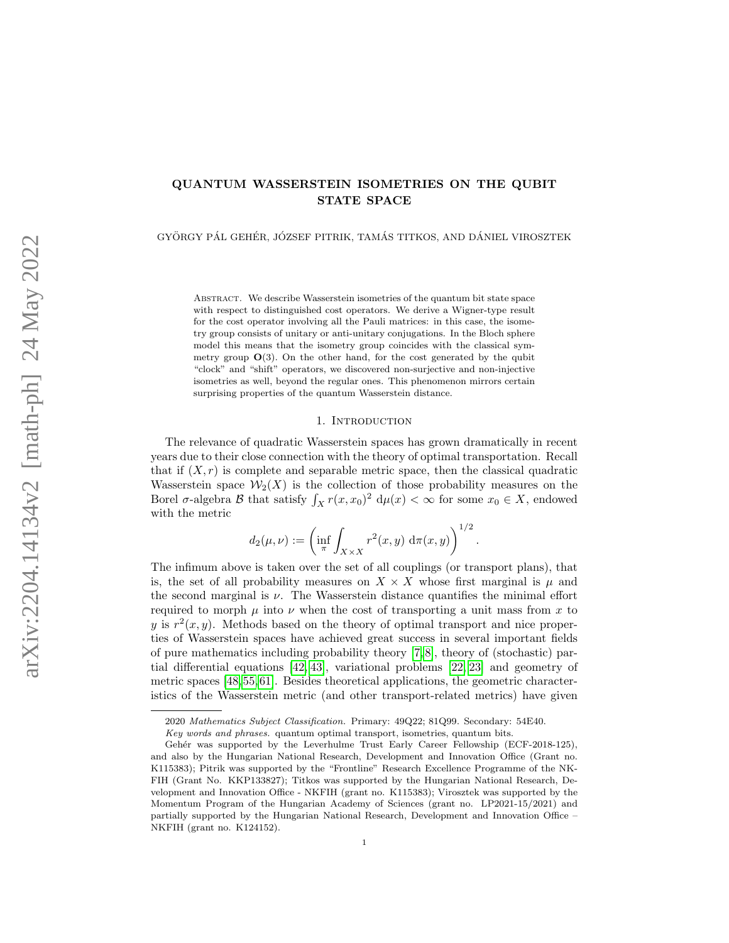# QUANTUM WASSERSTEIN ISOMETRIES ON THE QUBIT STATE SPACE

GYÖRGY PÁL GEHÉR, JÓZSEF PITRIK, TAMÁS TITKOS, AND DÁNIEL VIROSZTEK

Abstract. We describe Wasserstein isometries of the quantum bit state space with respect to distinguished cost operators. We derive a Wigner-type result for the cost operator involving all the Pauli matrices: in this case, the isometry group consists of unitary or anti-unitary conjugations. In the Bloch sphere model this means that the isometry group coincides with the classical symmetry group  $\mathbf{O}(3)$ . On the other hand, for the cost generated by the qubit "clock" and "shift" operators, we discovered non-surjective and non-injective isometries as well, beyond the regular ones. This phenomenon mirrors certain surprising properties of the quantum Wasserstein distance.

### 1. Introduction

The relevance of quadratic Wasserstein spaces has grown dramatically in recent years due to their close connection with the theory of optimal transportation. Recall that if  $(X, r)$  is complete and separable metric space, then the classical quadratic Wasserstein space  $\mathcal{W}_2(X)$  is the collection of those probability measures on the Borel  $\sigma$ -algebra  $\mathcal B$  that satisfy  $\int_X r(x,x_0)^2 d\mu(x) < \infty$  for some  $x_0 \in X$ , endowed with the metric

$$
d_2(\mu, \nu) := \left( \inf_{\pi} \int_{X \times X} r^2(x, y) \, d\pi(x, y) \right)^{1/2}.
$$

The infimum above is taken over the set of all couplings (or transport plans), that is, the set of all probability measures on  $X \times X$  whose first marginal is  $\mu$  and the second marginal is  $\nu$ . The Wasserstein distance quantifies the minimal effort required to morph  $\mu$  into  $\nu$  when the cost of transporting a unit mass from x to y is  $r^2(x, y)$ . Methods based on the theory of optimal transport and nice properties of Wasserstein spaces have achieved great success in several important fields of pure mathematics including probability theory  $[7, 8]$  $[7, 8]$ , theory of (stochastic) partial differential equations [\[42,](#page-15-0) [43\]](#page-15-1), variational problems [\[22,](#page-15-2) [23\]](#page-15-3) and geometry of metric spaces [\[48,](#page-16-0) [55,](#page-16-1) [61\]](#page-16-2). Besides theoretical applications, the geometric characteristics of the Wasserstein metric (and other transport-related metrics) have given

<sup>2020</sup> Mathematics Subject Classification. Primary: 49Q22; 81Q99. Secondary: 54E40.

Key words and phrases. quantum optimal transport, isometries, quantum bits.

Gehér was supported by the Leverhulme Trust Early Career Fellowship (ECF-2018-125), and also by the Hungarian National Research, Development and Innovation Office (Grant no. K115383); Pitrik was supported by the "Frontline" Research Excellence Programme of the NK-FIH (Grant No. KKP133827); Titkos was supported by the Hungarian National Research, Development and Innovation Office - NKFIH (grant no. K115383); Virosztek was supported by the Momentum Program of the Hungarian Academy of Sciences (grant no. LP2021-15/2021) and partially supported by the Hungarian National Research, Development and Innovation Office – NKFIH (grant no. K124152).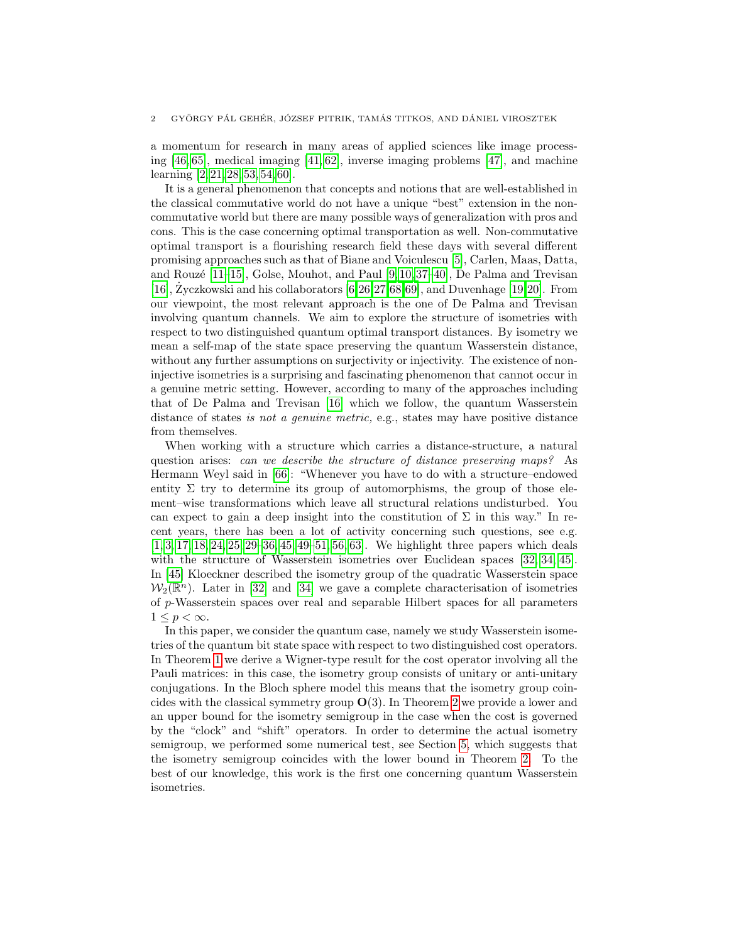a momentum for research in many areas of applied sciences like image processing [\[46,](#page-16-3) [65\]](#page-16-4), medical imaging [\[41,](#page-15-4) [62\]](#page-16-5), inverse imaging problems [\[47\]](#page-16-6), and machine learning [\[2,](#page-14-2) [21,](#page-15-5) [28,](#page-15-6) [53,](#page-16-7) [54,](#page-16-8) [60\]](#page-16-9).

It is a general phenomenon that concepts and notions that are well-established in the classical commutative world do not have a unique "best" extension in the noncommutative world but there are many possible ways of generalization with pros and cons. This is the case concerning optimal transportation as well. Non-commutative optimal transport is a flourishing research field these days with several different promising approaches such as that of Biane and Voiculescu [\[5\]](#page-14-3), Carlen, Maas, Datta, and Rouzé  $[11–15]$  $[11–15]$ , Golse, Mouhot, and Paul  $[9, 10, 37–40]$  $[9, 10, 37–40]$  $[9, 10, 37–40]$  $[9, 10, 37–40]$ , De Palma and Trevisan [\[16\]](#page-14-8),  $\text{Zyczkowski}$  and his collaborators [\[6,](#page-14-9)[26,](#page-15-9)[27,](#page-15-10)[68,](#page-16-10)[69\]](#page-16-11), and Duvenhage [\[19,](#page-15-11)[20\]](#page-15-12). From our viewpoint, the most relevant approach is the one of De Palma and Trevisan involving quantum channels. We aim to explore the structure of isometries with respect to two distinguished quantum optimal transport distances. By isometry we mean a self-map of the state space preserving the quantum Wasserstein distance, without any further assumptions on surjectivity or injectivity. The existence of noninjective isometries is a surprising and fascinating phenomenon that cannot occur in a genuine metric setting. However, according to many of the approaches including that of De Palma and Trevisan [\[16\]](#page-14-8) which we follow, the quantum Wasserstein distance of states is not a genuine metric, e.g., states may have positive distance from themselves.

When working with a structure which carries a distance-structure, a natural question arises: can we describe the structure of distance preserving maps? As Hermann Weyl said in [\[66\]](#page-16-12): "Whenever you have to do with a structure–endowed entity  $\Sigma$  try to determine its group of automorphisms, the group of those element–wise transformations which leave all structural relations undisturbed. You can expect to gain a deep insight into the constitution of  $\Sigma$  in this way." In recent years, there has been a lot of activity concerning such questions, see e.g. [\[1,](#page-14-10) [3,](#page-14-11) [17,](#page-14-12) [18,](#page-14-13) [24,](#page-15-13) [25,](#page-15-14) [29–](#page-15-15)[36,](#page-15-16) [45,](#page-15-17) [49–](#page-16-13)[51,](#page-16-14) [56,](#page-16-15) [63\]](#page-16-16). We highlight three papers which deals with the structure of Wasserstein isometries over Euclidean spaces [\[32,](#page-15-18) [34,](#page-15-19) [45\]](#page-15-17). In [\[45\]](#page-15-17) Kloeckner described the isometry group of the quadratic Wasserstein space  $\mathcal{W}_2(\mathbb{R}^n)$ . Later in [\[32\]](#page-15-18) and [\[34\]](#page-15-19) we gave a complete characterisation of isometries of p-Wasserstein spaces over real and separable Hilbert spaces for all parameters  $1 \leq p \leq \infty$ .

In this paper, we consider the quantum case, namely we study Wasserstein isometries of the quantum bit state space with respect to two distinguished cost operators. In Theorem [1](#page-3-0) we derive a Wigner-type result for the cost operator involving all the Pauli matrices: in this case, the isometry group consists of unitary or anti-unitary conjugations. In the Bloch sphere model this means that the isometry group coincides with the classical symmetry group  $O(3)$ . In Theorem [2](#page-8-0) we provide a lower and an upper bound for the isometry semigroup in the case when the cost is governed by the "clock" and "shift" operators. In order to determine the actual isometry semigroup, we performed some numerical test, see Section [5,](#page-12-0) which suggests that the isometry semigroup coincides with the lower bound in Theorem [2.](#page-8-0) To the best of our knowledge, this work is the first one concerning quantum Wasserstein isometries.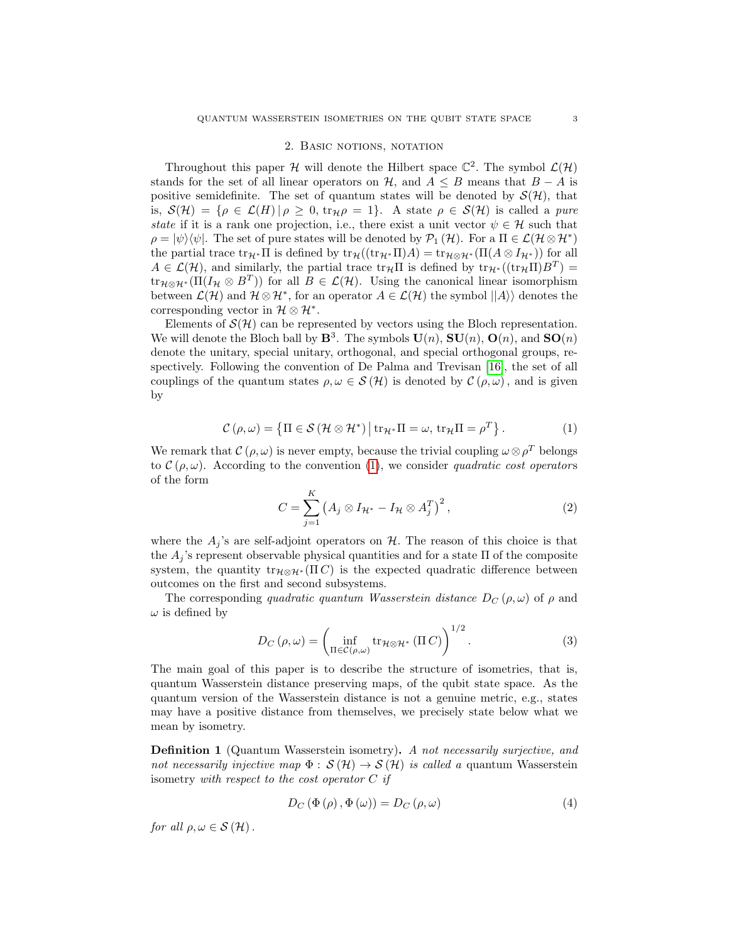## 2. BASIC NOTIONS, NOTATION

Throughout this paper H will denote the Hilbert space  $\mathbb{C}^2$ . The symbol  $\mathcal{L}(\mathcal{H})$ stands for the set of all linear operators on  $H$ , and  $A \leq B$  means that  $B - A$  is positive semidefinite. The set of quantum states will be denoted by  $\mathcal{S}(\mathcal{H})$ , that is,  $S(\mathcal{H}) = \{ \rho \in \mathcal{L}(H) | \rho \geq 0, \text{tr}_{\mathcal{H}} \rho = 1 \}.$  A state  $\rho \in S(\mathcal{H})$  is called a *pure* state if it is a rank one projection, i.e., there exist a unit vector  $\psi \in \mathcal{H}$  such that  $\rho = |\psi\rangle\langle\psi|$ . The set of pure states will be denoted by  $\mathcal{P}_1(\mathcal{H})$ . For a  $\Pi \in \mathcal{L}(\mathcal{H} \otimes \mathcal{H}^*)$ the partial trace  $\text{tr}_{\mathcal{H}^*} \Pi$  is defined by  $\text{tr}_{\mathcal{H}}((\text{tr}_{\mathcal{H}^*} \Pi)A) = \text{tr}_{\mathcal{H} \otimes \mathcal{H}^*}(\Pi(A \otimes I_{\mathcal{H}^*}))$  for all  $A \in \mathcal{L}(\mathcal{H})$ , and similarly, the partial trace  $\text{tr}_{\mathcal{H}}\Pi$  is defined by  $\text{tr}_{\mathcal{H}^*}((\text{tr}_{\mathcal{H}}\Pi)B^T) =$  $\text{tr}_{\mathcal{H}\otimes\mathcal{H}^*}(\Pi(I_\mathcal{H}\otimes B^T))$  for all  $B\in\mathcal{L}(\mathcal{H})$ . Using the canonical linear isomorphism between  $\mathcal{L}(\mathcal{H})$  and  $\mathcal{H} \otimes \mathcal{H}^*$ , for an operator  $A \in \mathcal{L}(\mathcal{H})$  the symbol  $||A\rangle$  denotes the corresponding vector in  $\mathcal{H} \otimes \mathcal{H}^*$ .

Elements of  $\mathcal{S}(\mathcal{H})$  can be represented by vectors using the Bloch representation. We will denote the Bloch ball by  $\mathbf{B}^3$ . The symbols  $\mathbf{U}(n)$ ,  $\mathbf{SU}(n)$ ,  $\mathbf{O}(n)$ , and  $\mathbf{SO}(n)$ denote the unitary, special unitary, orthogonal, and special orthogonal groups, respectively. Following the convention of De Palma and Trevisan [\[16\]](#page-14-8), the set of all couplings of the quantum states  $\rho, \omega \in \mathcal{S}(\mathcal{H})$  is denoted by  $\mathcal{C}(\rho, \omega)$ , and is given by

<span id="page-2-0"></span>
$$
\mathcal{C}(\rho,\omega) = \left\{ \Pi \in \mathcal{S} \left( \mathcal{H} \otimes \mathcal{H}^* \right) \middle| \operatorname{tr}_{\mathcal{H}^*} \Pi = \omega, \operatorname{tr}_{\mathcal{H}} \Pi = \rho^T \right\}.
$$
 (1)

We remark that  $\mathcal{C}(\rho,\omega)$  is never empty, because the trivial coupling  $\omega \otimes \rho^T$  belongs to  $\mathcal{C}(\rho,\omega)$ . According to the convention [\(1\)](#page-2-0), we consider quadratic cost operators of the form

$$
C = \sum_{j=1}^{K} \left( A_j \otimes I_{\mathcal{H}^*} - I_{\mathcal{H}} \otimes A_j^T \right)^2, \tag{2}
$$

where the  $A_j$ 's are self-adjoint operators on  $H$ . The reason of this choice is that the  $A_j$ 's represent observable physical quantities and for a state  $\Pi$  of the composite system, the quantity  $tr_{\mathcal{H} \otimes \mathcal{H}^*}(\Pi C)$  is the expected quadratic difference between outcomes on the first and second subsystems.

The corresponding quadratic quantum Wasserstein distance  $D_C(\rho,\omega)$  of  $\rho$  and  $\omega$  is defined by

$$
D_C(\rho,\omega) = \left(\inf_{\Pi \in \mathcal{C}(\rho,\omega)} \text{tr}_{\mathcal{H} \otimes \mathcal{H}^*}(\Pi C)\right)^{1/2}.
$$
 (3)

The main goal of this paper is to describe the structure of isometries, that is, quantum Wasserstein distance preserving maps, of the qubit state space. As the quantum version of the Wasserstein distance is not a genuine metric, e.g., states may have a positive distance from themselves, we precisely state below what we mean by isometry.

Definition 1 (Quantum Wasserstein isometry). A not necessarily surjective, and not necessarily injective map  $\Phi : \mathcal{S}(\mathcal{H}) \to \mathcal{S}(\mathcal{H})$  is called a quantum Wasserstein isometry with respect to the cost operator  $C$  if

<span id="page-2-1"></span>
$$
D_{C} \left( \Phi \left( \rho \right), \Phi \left( \omega \right) \right) = D_{C} \left( \rho, \omega \right) \tag{4}
$$

for all  $\rho, \omega \in \mathcal{S}(\mathcal{H})$ .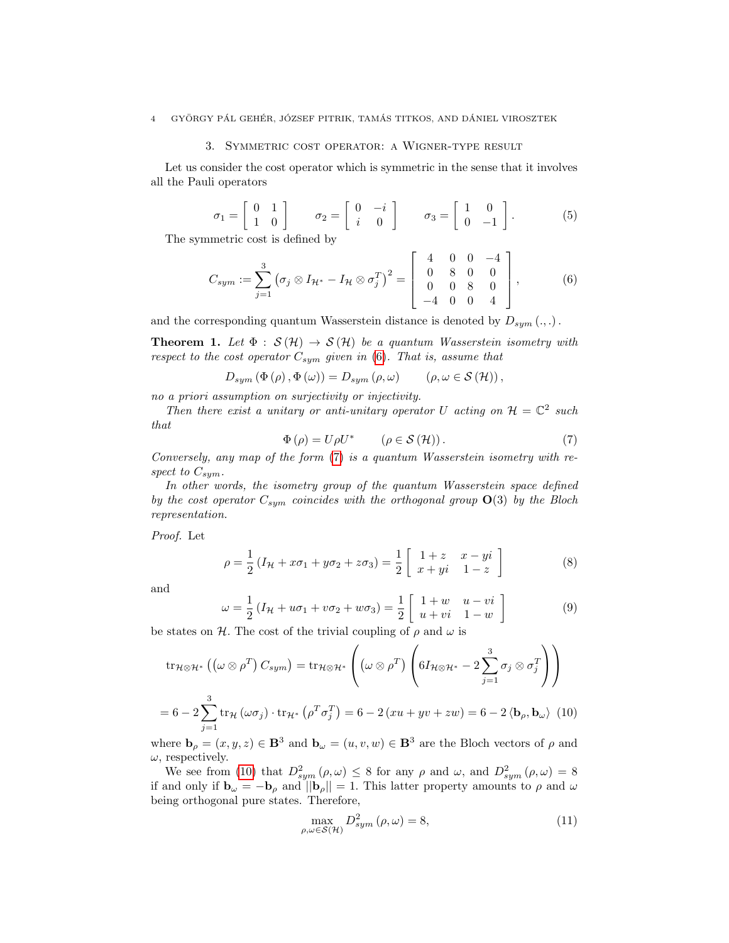## 3. Symmetric cost operator: a Wigner-type result

Let us consider the cost operator which is symmetric in the sense that it involves all the Pauli operators

$$
\sigma_1 = \begin{bmatrix} 0 & 1 \\ 1 & 0 \end{bmatrix} \qquad \sigma_2 = \begin{bmatrix} 0 & -i \\ i & 0 \end{bmatrix} \qquad \sigma_3 = \begin{bmatrix} 1 & 0 \\ 0 & -1 \end{bmatrix}.
$$
 (5)

The symmetric cost is defined by

<span id="page-3-1"></span>
$$
C_{sym} := \sum_{j=1}^{3} \left( \sigma_j \otimes I_{\mathcal{H}^*} - I_{\mathcal{H}} \otimes \sigma_j^T \right)^2 = \begin{bmatrix} 4 & 0 & 0 & -4 \\ 0 & 8 & 0 & 0 \\ 0 & 0 & 8 & 0 \\ -4 & 0 & 0 & 4 \end{bmatrix},
$$
(6)

and the corresponding quantum Wasserstein distance is denoted by  $D_{sum} (.,).$ 

<span id="page-3-0"></span>**Theorem 1.** Let  $\Phi : \mathcal{S}(\mathcal{H}) \to \mathcal{S}(\mathcal{H})$  be a quantum Wasserstein isometry with respect to the cost operator  $C_{sym}$  given in [\(6\)](#page-3-1). That is, assume that

$$
D_{sym} (\Phi (\rho), \Phi (\omega)) = D_{sym} (\rho, \omega) \qquad (\rho, \omega \in \mathcal{S} (\mathcal{H})),
$$

no a priori assumption on surjectivity or injectivity.

Then there exist a unitary or anti-unitary operator U acting on  $\mathcal{H} = \mathbb{C}^2$  such that

<span id="page-3-2"></span>
$$
\Phi(\rho) = U\rho U^* \qquad (\rho \in \mathcal{S}(\mathcal{H})). \tag{7}
$$

Conversely, any map of the form [\(7\)](#page-3-2) is a quantum Wasserstein isometry with respect to  $C_{sym}$ .

In other words, the isometry group of the quantum Wasserstein space defined by the cost operator  $C_{sym}$  coincides with the orthogonal group  $O(3)$  by the Bloch representation.

Proof. Let

<span id="page-3-4"></span>
$$
\rho = \frac{1}{2} (I_{\mathcal{H}} + x\sigma_1 + y\sigma_2 + z\sigma_3) = \frac{1}{2} \left[ \begin{array}{cc} 1+z & x-yi \\ x+yi & 1-z \end{array} \right]
$$
(8)

and

<span id="page-3-5"></span>
$$
\omega = \frac{1}{2} \left( I_{\mathcal{H}} + u \sigma_1 + v \sigma_2 + w \sigma_3 \right) = \frac{1}{2} \left[ \begin{array}{cc} 1+w & u-vi \\ u+vi & 1-w \end{array} \right] \tag{9}
$$

be states on H. The cost of the trivial coupling of  $\rho$  and  $\omega$  is

$$
\operatorname{tr}_{\mathcal{H}\otimes\mathcal{H}^*}\left((\omega\otimes\rho^T)C_{sym}\right) = \operatorname{tr}_{\mathcal{H}\otimes\mathcal{H}^*}\left((\omega\otimes\rho^T)\left(6I_{\mathcal{H}\otimes\mathcal{H}^*} - 2\sum_{j=1}^3\sigma_j\otimes\sigma_j^T\right)\right)
$$

$$
= 6 - 2\sum_{j=1}^3 \operatorname{tr}_{\mathcal{H}}\left(\omega\sigma_j\right) \cdot \operatorname{tr}_{\mathcal{H}^*}\left(\rho^T\sigma_j^T\right) = 6 - 2\left(xu + yv + zw\right) = 6 - 2\left\langle \mathbf{b}_\rho, \mathbf{b}_\omega \right\rangle\tag{10}
$$

<span id="page-3-3"></span>where  $\mathbf{b}_{\rho} = (x, y, z) \in \mathbf{B}^{3}$  and  $\mathbf{b}_{\omega} = (u, v, w) \in \mathbf{B}^{3}$  are the Bloch vectors of  $\rho$  and  $\omega$ , respectively.

We see from [\(10\)](#page-3-3) that  $D_{sym}^2(\rho,\omega) \leq 8$  for any  $\rho$  and  $\omega$ , and  $D_{sym}^2(\rho,\omega) = 8$ if and only if  $\mathbf{b}_{\omega} = -\mathbf{b}_{\rho}$  and  $||\mathbf{b}_{\rho}|| = 1$ . This latter property amounts to  $\rho$  and  $\omega$ being orthogonal pure states. Therefore,

$$
\max_{\rho,\omega \in \mathcal{S}(\mathcal{H})} D_{sym}^2(\rho,\omega) = 8,\tag{11}
$$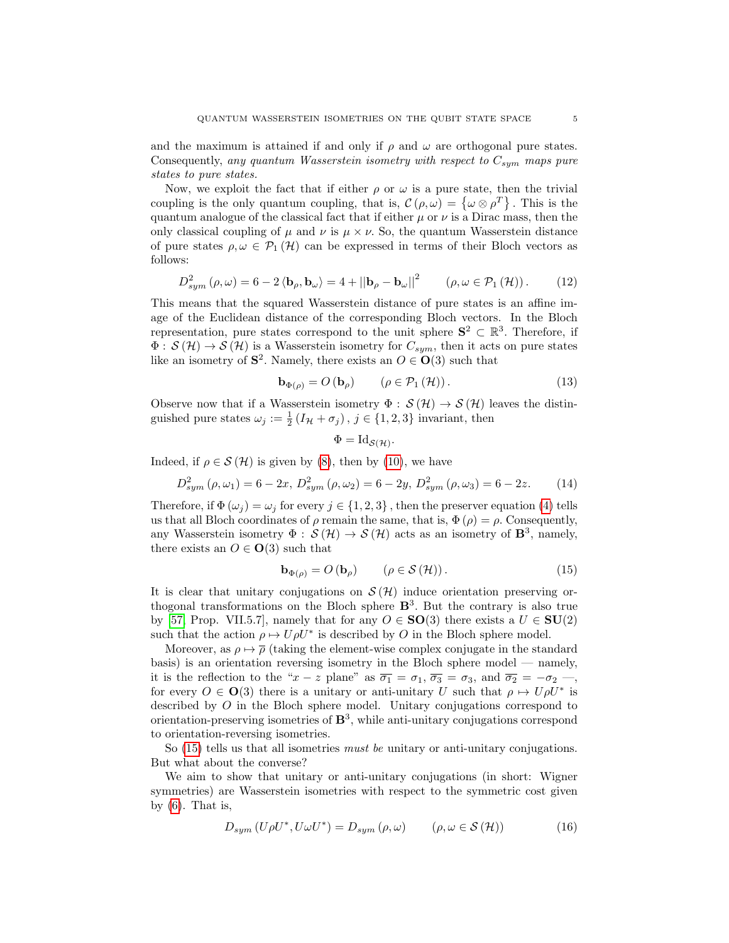and the maximum is attained if and only if  $\rho$  and  $\omega$  are orthogonal pure states. Consequently, any quantum Wasserstein isometry with respect to  $C_{sym}$  maps pure states to pure states.

Now, we exploit the fact that if either  $\rho$  or  $\omega$  is a pure state, then the trivial coupling is the only quantum coupling, that is,  $\mathcal{C}(\rho,\omega) = {\omega \otimes \rho^{T}}$ . This is the quantum analogue of the classical fact that if either  $\mu$  or  $\nu$  is a Dirac mass, then the only classical coupling of  $\mu$  and  $\nu$  is  $\mu \times \nu$ . So, the quantum Wasserstein distance of pure states  $\rho, \omega \in \mathcal{P}_1(\mathcal{H})$  can be expressed in terms of their Bloch vectors as follows:

$$
D_{sym}^{2}\left(\rho,\omega\right) = 6 - 2\left\langle \mathbf{b}_{\rho},\mathbf{b}_{\omega}\right\rangle = 4 + \left|\left|\mathbf{b}_{\rho} - \mathbf{b}_{\omega}\right|\right|^{2} \qquad \left(\rho,\omega \in \mathcal{P}_{1}\left(\mathcal{H}\right)\right). \tag{12}
$$

This means that the squared Wasserstein distance of pure states is an affine image of the Euclidean distance of the corresponding Bloch vectors. In the Bloch representation, pure states correspond to the unit sphere  $S^2 \subset \mathbb{R}^3$ . Therefore, if  $\Phi: \mathcal{S}(\mathcal{H}) \to \mathcal{S}(\mathcal{H})$  is a Wasserstein isometry for  $C_{sym}$ , then it acts on pure states like an isometry of  $S^2$ . Namely, there exists an  $O \in O(3)$  such that

$$
\mathbf{b}_{\Phi(\rho)} = O\left(\mathbf{b}_{\rho}\right) \qquad \left(\rho \in \mathcal{P}_1\left(\mathcal{H}\right)\right). \tag{13}
$$

Observe now that if a Wasserstein isometry  $\Phi : \mathcal{S}(\mathcal{H}) \to \mathcal{S}(\mathcal{H})$  leaves the distinguished pure states  $\omega_j := \frac{1}{2} (I_H + \sigma_j), j \in \{1, 2, 3\}$  invariant, then

$$
\Phi = \mathrm{Id}_{\mathcal{S}(\mathcal{H})}.
$$

Indeed, if  $\rho \in \mathcal{S}(\mathcal{H})$  is given by [\(8\)](#page-3-4), then by [\(10\)](#page-3-3), we have

$$
D_{sym}^{2}(\rho,\omega_{1}) = 6 - 2x, D_{sym}^{2}(\rho,\omega_{2}) = 6 - 2y, D_{sym}^{2}(\rho,\omega_{3}) = 6 - 2z.
$$
 (14)

Therefore, if  $\Phi(\omega_j) = \omega_j$  for every  $j \in \{1, 2, 3\}$ , then the preserver equation [\(4\)](#page-2-1) tells us that all Bloch coordinates of  $\rho$  remain the same, that is,  $\Phi(\rho) = \rho$ . Consequently, any Wasserstein isometry  $\Phi: \mathcal{S}(\mathcal{H}) \to \mathcal{S}(\mathcal{H})$  acts as an isometry of  $\mathbf{B}^3$ , namely, there exists an  $O \in O(3)$  such that

<span id="page-4-0"></span>
$$
\mathbf{b}_{\Phi(\rho)} = O\left(\mathbf{b}_{\rho}\right) \qquad \left(\rho \in \mathcal{S}\left(\mathcal{H}\right)\right). \tag{15}
$$

It is clear that unitary conjugations on  $\mathcal{S}(\mathcal{H})$  induce orientation preserving orthogonal transformations on the Bloch sphere  $\mathbb{B}^3$ . But the contrary is also true by [\[57,](#page-16-17) Prop. VII.5.7], namely that for any  $O \in SO(3)$  there exists a  $U \in SU(2)$ such that the action  $\rho \mapsto U \rho U^*$  is described by O in the Bloch sphere model.

Moreover, as  $\rho \mapsto \overline{\rho}$  (taking the element-wise complex conjugate in the standard basis) is an orientation reversing isometry in the Bloch sphere model — namely, it is the reflection to the " $x - z$  plane" as  $\overline{\sigma_1} = \sigma_1$ ,  $\overline{\sigma_3} = \sigma_3$ , and  $\overline{\sigma_2} = -\sigma_2$  —, for every  $O \in \mathbf{O}(3)$  there is a unitary or anti-unitary U such that  $\rho \mapsto U \rho U^*$  is described by O in the Bloch sphere model. Unitary conjugations correspond to orientation-preserving isometries of  $\mathbb{B}^3$ , while anti-unitary conjugations correspond to orientation-reversing isometries.

So  $(15)$  tells us that all isometries *must be* unitary or anti-unitary conjugations. But what about the converse?

We aim to show that unitary or anti-unitary conjugations (in short: Wigner symmetries) are Wasserstein isometries with respect to the symmetric cost given by  $(6)$ . That is,

<span id="page-4-1"></span>
$$
D_{sym} (U\rho U^*, U\omega U^*) = D_{sym} (\rho, \omega) \qquad (\rho, \omega \in \mathcal{S}(\mathcal{H})) \tag{16}
$$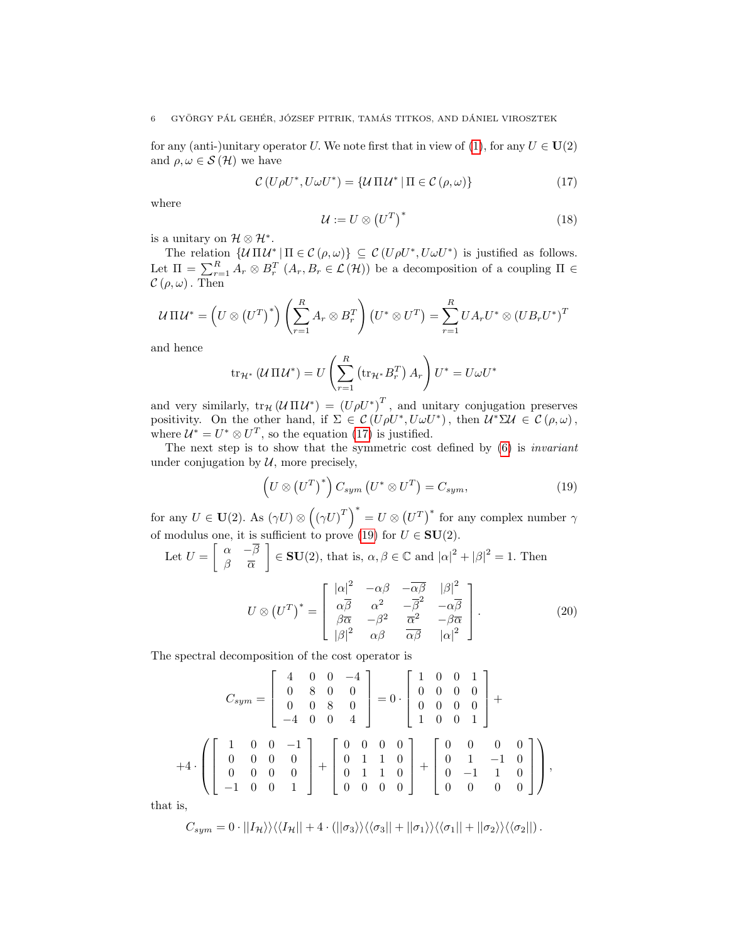for any (anti-)unitary operator U. We note first that in view of [\(1\)](#page-2-0), for any  $U \in U(2)$ and  $\rho, \omega \in \mathcal{S}(\mathcal{H})$  we have

<span id="page-5-0"></span>
$$
\mathcal{C}\left(U\rho U^*, U\omega U^*\right) = \{U\Pi U^* \mid \Pi \in \mathcal{C}\left(\rho,\omega\right)\}\tag{17}
$$

where

$$
\mathcal{U} := U \otimes (U^T)^* \tag{18}
$$

is a unitary on  $\mathcal{H} \otimes \mathcal{H}^*$ .

The relation  $\{U \Pi U^* | \Pi \in C(\rho, \omega)\} \subseteq C(U \rho U^*, U \omega U^*)$  is justified as follows. Let  $\Pi = \sum_{r=1}^{R} A_r \otimes B_r^T (A_r, B_r \in \mathcal{L}(\mathcal{H}))$  be a decomposition of a coupling  $\Pi \in$  $\mathcal{C}(\rho,\omega)$ . Then

$$
U\Pi U^* = \left(U \otimes (U^T)^*\right) \left(\sum_{r=1}^R A_r \otimes B_r^T\right) \left(U^* \otimes U^T\right) = \sum_{r=1}^R U A_r U^* \otimes \left(U B_r U^*\right)^T
$$

and hence

$$
\operatorname{tr}_{\mathcal{H}^*} (\mathcal{U} \Pi \mathcal{U}^*) = U \left( \sum_{r=1}^R \left( \operatorname{tr}_{\mathcal{H}^*} B_r^T \right) A_r \right) U^* = U \omega U^*
$$

and very similarly,  $tr_{\mathcal{H}}(\mathcal{U}\Pi\mathcal{U}^*) = (U\rho U^*)^T$ , and unitary conjugation preserves positivity. On the other hand, if  $\Sigma \in \mathcal{C}(U \rho U^*, U \omega U^*)$ , then  $\mathcal{U}^* \Sigma \mathcal{U} \in \mathcal{C}(\rho, \omega)$ , where  $\mathcal{U}^* = U^* \otimes U^T$ , so the equation [\(17\)](#page-5-0) is justified.

The next step is to show that the symmetric cost defined by [\(6\)](#page-3-1) is invariant under conjugation by  $U$ , more precisely,

<span id="page-5-1"></span>
$$
\left(U \otimes (U^T)^*\right) C_{sym} \left(U^* \otimes U^T\right) = C_{sym},\tag{19}
$$

for any  $U \in U(2)$ . As  $(\gamma U) \otimes ((\gamma U)^T)^* = U \otimes (U^T)^*$  for any complex number  $\gamma$ of modulus one, it is sufficient to prove [\(19\)](#page-5-1) for  $U \in SU(2)$ .

Let 
$$
U = \begin{bmatrix} \alpha & -\overline{\beta} \\ \beta & \overline{\alpha} \end{bmatrix} \in \mathbf{SU}(2)
$$
, that is,  $\alpha, \beta \in \mathbb{C}$  and  $|\alpha|^2 + |\beta|^2 = 1$ . Then

<span id="page-5-2"></span>
$$
U \otimes (U^{T})^{*} = \begin{bmatrix} |\alpha|^{2} & -\alpha\beta & -\overline{\alpha\beta} & |\beta|^{2} \\ \alpha\overline{\beta} & \alpha^{2} & -\overline{\beta}^{2} & -\alpha\overline{\beta} \\ \beta\overline{\alpha} & -\beta^{2} & \overline{\alpha}^{2} & -\beta\overline{\alpha} \\ |\beta|^{2} & \alpha\beta & \overline{\alpha}\overline{\beta} & |\alpha|^{2} \end{bmatrix}.
$$
 (20)

The spectral decomposition of the cost operator is

$$
C_{sym} = \begin{bmatrix} 4 & 0 & 0 & -4 \ 0 & 8 & 0 & 0 \ 0 & 0 & 8 & 0 \ -4 & 0 & 0 & 4 \end{bmatrix} = 0 \cdot \begin{bmatrix} 1 & 0 & 0 & 1 \ 0 & 0 & 0 & 0 \ 0 & 0 & 0 & 0 \ 1 & 0 & 0 & 1 \end{bmatrix} + 4 \cdot \left( \begin{bmatrix} 1 & 0 & 0 & -1 \ 0 & 0 & 0 & 0 \ 0 & 0 & 0 & 0 \ -1 & 0 & 0 & 1 \end{bmatrix} + \begin{bmatrix} 0 & 0 & 0 & 0 \ 0 & 1 & 1 & 0 \ 0 & 1 & 1 & 0 \ 0 & 0 & 0 & 0 \end{bmatrix} + \begin{bmatrix} 0 & 0 & 0 & 0 \ 0 & 1 & -1 & 0 \ 0 & -1 & 1 & 0 \ 0 & 0 & 0 & 0 \end{bmatrix} \right),
$$

that is,

$$
C_{sym} = 0 \cdot ||I_{\mathcal{H}}\rangle\rangle\langle\langle I_{\mathcal{H}}|| + 4 \cdot (||\sigma_3\rangle\rangle\langle\langle \sigma_3|| + ||\sigma_1\rangle\rangle\langle\langle \sigma_1|| + ||\sigma_2\rangle\rangle\langle\langle \sigma_2||).
$$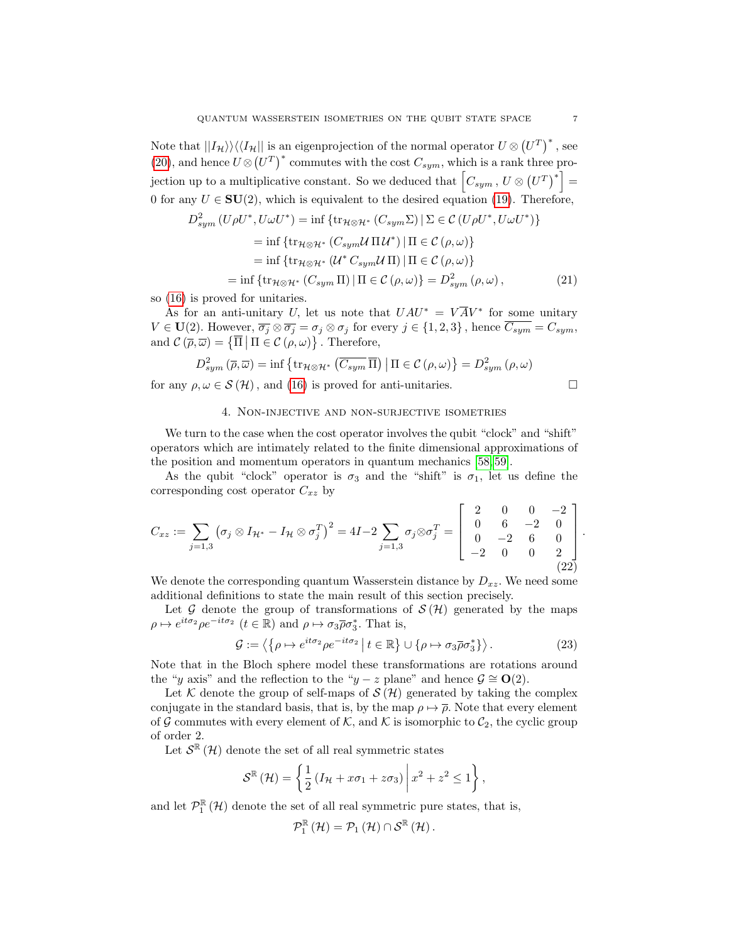Note that  $||I_{\mathcal{H}}\rangle\rangle\langle\langle I_{\mathcal{H}}||$  is an eigenprojection of the normal operator  $U\otimes (U^T)^*$ , see [\(20\)](#page-5-2), and hence  $U \otimes (U^T)^*$  commutes with the cost  $C_{sym}$ , which is a rank three projection up to a multiplicative constant. So we deduced that  $\left[C_{sym}$  ,  $U \otimes (U^T)^*\right] =$ 0 for any  $U \in SU(2)$ , which is equivalent to the desired equation [\(19\)](#page-5-1). Therefore,

<span id="page-6-2"></span>
$$
D_{sym}^{2}\left(U\rho U^{*},U\omega U^{*}\right)=\inf\left\{\text{tr}_{\mathcal{H}\otimes\mathcal{H}^{*}}\left(C_{sym}\Sigma\right)\big|\Sigma\in\mathcal{C}\left(U\rho U^{*},U\omega U^{*}\right)\right\}
$$

$$
=\inf\left\{\text{tr}_{\mathcal{H}\otimes\mathcal{H}^{*}}\left(C_{sym}\mathcal{U}\Pi\mathcal{U}^{*}\right)\big|\Pi\in\mathcal{C}\left(\rho,\omega\right)\right\}
$$

$$
=\inf\left\{\text{tr}_{\mathcal{H}\otimes\mathcal{H}^{*}}\left(U^{*}\mathcal{C}_{sym}\mathcal{U}\Pi\right)\big|\Pi\in\mathcal{C}\left(\rho,\omega\right)\right\}
$$

$$
=\inf\left\{\text{tr}_{\mathcal{H}\otimes\mathcal{H}^{*}}\left(C_{sym}\Pi\right)\big|\Pi\in\mathcal{C}\left(\rho,\omega\right)\right\}=D_{sym}^{2}\left(\rho,\omega\right),\tag{21}
$$

so [\(16\)](#page-4-1) is proved for unitaries.

As for an anti-unitary U, let us note that  $UAU^* = V\overline{A}V^*$  for some unitary  $V \in \mathbf{U}(2)$ . However,  $\overline{\sigma_j} \otimes \overline{\sigma_j} = \sigma_j \otimes \sigma_j$  for every  $j \in \{1, 2, 3\}$ , hence  $\overline{C_{sym}} = C_{sym}$ , and  $\mathcal{C}(\overline{\rho}, \overline{\omega}) = \{ \overline{\Pi} \mid \Pi \in \mathcal{C}(\rho, \omega) \}$ . Therefore,

$$
D_{sym}^{2}\left(\overline{\rho},\overline{\omega}\right) = \inf \left\{ \operatorname{tr}_{\mathcal{H}\otimes\mathcal{H}^{*}}\left(\overline{C_{sym}}\,\overline{\Pi}\right) \middle| \Pi \in \mathcal{C}\left(\rho,\omega\right) \right\} = D_{sym}^{2}\left(\rho,\omega\right)
$$

for any  $\rho, \omega \in \mathcal{S}(\mathcal{H})$ , and [\(16\)](#page-4-1) is proved for anti-unitaries.

$$
\Box
$$

## 4. Non-injective and non-surjective isometries

We turn to the case when the cost operator involves the qubit "clock" and "shift" operators which are intimately related to the finite dimensional approximations of the position and momentum operators in quantum mechanics [\[58,](#page-16-18) [59\]](#page-16-19).

As the qubit "clock" operator is  $\sigma_3$  and the "shift" is  $\sigma_1$ , let us define the corresponding cost operator  $C_{xz}$  by

<span id="page-6-0"></span>
$$
C_{xz} := \sum_{j=1,3} \left( \sigma_j \otimes I_{\mathcal{H}^*} - I_{\mathcal{H}} \otimes \sigma_j^T \right)^2 = 4I - 2 \sum_{j=1,3} \sigma_j \otimes \sigma_j^T = \begin{bmatrix} 2 & 0 & 0 & -2 \\ 0 & 6 & -2 & 0 \\ 0 & -2 & 6 & 0 \\ -2 & 0 & 0 & 2 \end{bmatrix}.
$$
\n(22)

We denote the corresponding quantum Wasserstein distance by  $D_{xz}$ . We need some additional definitions to state the main result of this section precisely.

Let G denote the group of transformations of  $\mathcal{S}(\mathcal{H})$  generated by the maps  $\rho \mapsto e^{it\sigma_2} \rho e^{-it\sigma_2}$   $(t \in \mathbb{R})$  and  $\rho \mapsto \sigma_3 \overline{\rho} \sigma_3^*$ . That is,

<span id="page-6-1"></span>
$$
\mathcal{G} := \left\langle \left\{ \rho \mapsto e^{it\sigma_2} \rho e^{-it\sigma_2} \middle| t \in \mathbb{R} \right\} \cup \left\{ \rho \mapsto \sigma_3 \overline{\rho} \sigma_3^* \right\} \right\rangle. \tag{23}
$$

Note that in the Bloch sphere model these transformations are rotations around the "y axis" and the reflection to the "y – z plane" and hence  $\mathcal{G} \cong \mathbf{O}(2)$ .

Let K denote the group of self-maps of  $\mathcal{S}(\mathcal{H})$  generated by taking the complex conjugate in the standard basis, that is, by the map  $\rho \mapsto \overline{\rho}$ . Note that every element of G commutes with every element of K, and K is isomorphic to  $\mathcal{C}_2$ , the cyclic group of order 2.

Let  $\mathcal{S}^{\mathbb{R}}(\mathcal{H})$  denote the set of all real symmetric states

$$
\mathcal{S}^{\mathbb{R}}\left(\mathcal{H}\right) = \left\{\frac{1}{2}\left(I_{\mathcal{H}} + x\sigma_1 + z\sigma_3\right) \middle| x^2 + z^2 \le 1\right\},\,
$$

and let  $\mathcal{P}_{1}^{\mathbb{R}}(\mathcal{H})$  denote the set of all real symmetric pure states, that is,

$$
\mathcal{P}_{1}^{\mathbb{R}}\left(\mathcal{H}\right)=\mathcal{P}_{1}\left(\mathcal{H}\right)\cap\mathcal{S}^{\mathbb{R}}\left(\mathcal{H}\right).
$$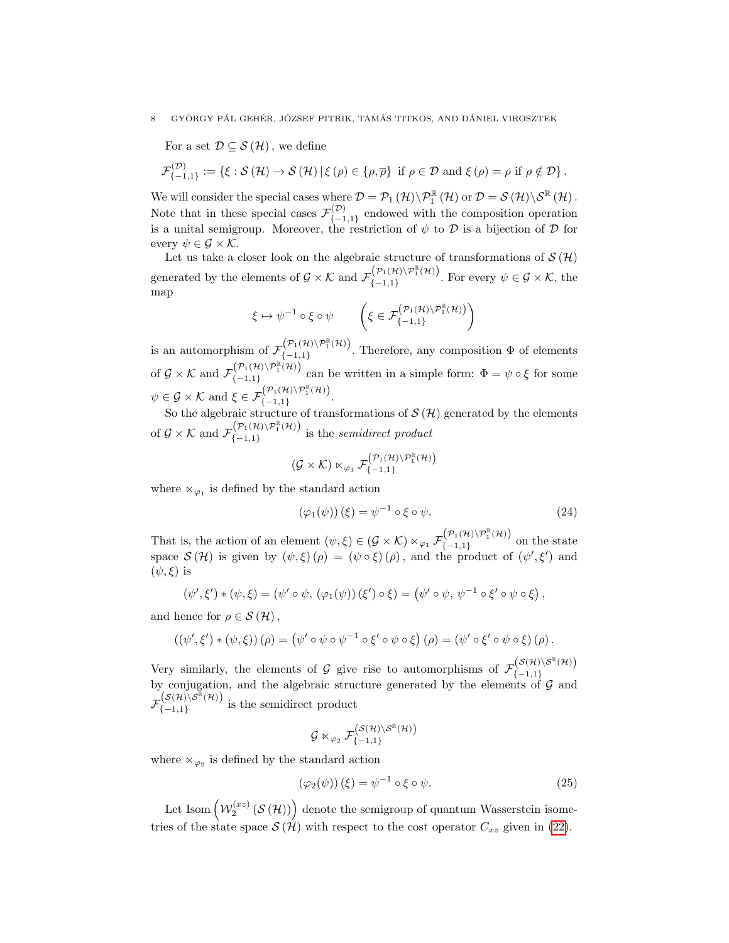For a set  $\mathcal{D} \subseteq \mathcal{S}(\mathcal{H})$ , we define

$$
\mathcal{F}^{(\mathcal{D})}_{\{-1,1\}} := \left\{ \xi : \mathcal{S}(\mathcal{H}) \to \mathcal{S}(\mathcal{H}) \, | \, \xi(\rho) \in \{\rho, \overline{\rho}\} \text{ if } \rho \in \mathcal{D} \text{ and } \xi(\rho) = \rho \text{ if } \rho \notin \mathcal{D} \right\}.
$$

We will consider the special cases where  $\mathcal{D} = \mathcal{P}_1(\mathcal{H}) \backslash \mathcal{P}_1^{\mathbb{R}}(\mathcal{H})$  or  $\mathcal{D} = \mathcal{S}(\mathcal{H}) \backslash \mathcal{S}^{\mathbb{R}}(\mathcal{H})$ . Note that in these special cases  $\mathcal{F}^{(\mathcal{D})}_{f-1}$  ${(\nu)}_{\{-1,1\}}$  endowed with the composition operation is a unital semigroup. Moreover, the restriction of  $\psi$  to  $\mathcal D$  is a bijection of  $\mathcal D$  for every  $\psi \in \mathcal{G} \times \mathcal{K}$ .

Let us take a closer look on the algebraic structure of transformations of  $\mathcal{S}(\mathcal{H})$ generated by the elements of  $\mathcal{G} \times \mathcal{K}$  and  $\mathcal{F}^{(\mathcal{P}_1(\mathcal{H})\setminus \mathcal{P}_1^{\mathbb{R}}(\mathcal{H}))}_{\{1\leq i\leq n\}}$  $\{(-1,1)\}\n_{-1,1}$ . For every  $\psi \in \mathcal{G} \times \mathcal{K}$ , the map

$$
\xi \mapsto \psi^{-1} \circ \xi \circ \psi \qquad \left( \xi \in \mathcal{F}\left(\mathcal{P}_1(\mathcal{H}) \backslash \mathcal{P}_1^{\mathbb{R}}(\mathcal{H})\right) \right)
$$

is an automorphism of  $\mathcal{F}(\mathcal{P}_1(\mathcal{H})\setminus \mathcal{P}_1^{\mathbb{R}}(\mathcal{H}))$  $\{\{-1,1\}\}$ . Therefore, any composition  $\Phi$  of elements of  $\mathcal{G} \times \mathcal{K}$  and  $\mathcal{F}_{\ell-1,1}^{(\mathcal{P}_1(\mathcal{H})\setminus \mathcal{P}_1^{\mathbb{R}}(\mathcal{H}))}$  $(-1,1)$ <sup>{−1,1}</sup> can be written in a simple form:  $\Phi = \psi \circ \xi$  for some  $\psi \in \mathcal{G} \times \mathcal{K}$  and  $\xi \in \mathcal{F}_{\{-1, 1\}}^{(\mathcal{P}_1(\mathcal{H}) \setminus \mathcal{P}_1^{\mathbb{R}}(\mathcal{H}))}$  $(-1,1)$ 

So the algebraic structure of transformations of  $\mathcal{S}(\mathcal{H})$  generated by the elements of  $\mathcal{G} \times \mathcal{K}$  and  $\mathcal{F}_{f-1,1}^{(\mathcal{P}_1(\mathcal{H})\setminus \mathcal{P}_1^{\mathbb{R}}(\mathcal{H}))}$  $\{(-1,1)\}\{(-1,1\}$  is the *semidirect product* 

$$
(\mathcal{G}\times\mathcal{K})\ltimes_{\varphi_1}\mathcal{F}^{\left(\mathcal{P}_1(\mathcal{H})\setminus\mathcal{P}_1^\mathbb{R}(\mathcal{H})\right)}_{\{-1,1\}}
$$

where  $\ltimes_{\varphi_1}$  is defined by the standard action

<span id="page-7-0"></span>
$$
(\varphi_1(\psi))(\xi) = \psi^{-1} \circ \xi \circ \psi.
$$
 (24)

That is, the action of an element  $(\psi, \xi) \in (\mathcal{G} \times \mathcal{K}) \ltimes_{\varphi_1} \mathcal{F}_{\{-1,1\}}^{(\mathcal{P}_1(\mathcal{H}) \setminus \mathcal{P}_1^{\mathbb{R}}(\mathcal{H}))}$  $(-1,1)$  on the state space  $\mathcal{S}(\mathcal{H})$  is given by  $(\psi,\xi)(\rho) = (\psi \circ \xi)(\rho)$ , and the product of  $(\psi',\xi')$  and  $(\psi, \xi)$  is

$$
(\psi',\xi') * (\psi,\xi) = (\psi' \circ \psi, (\varphi_1(\psi))(\xi') \circ \xi) = (\psi' \circ \psi, \psi^{-1} \circ \xi' \circ \psi \circ \xi),
$$

and hence for  $\rho \in \mathcal{S}(\mathcal{H})$ ,

$$
((\psi',\xi')*(\psi,\xi))(\rho) = (\psi' \circ \psi \circ \psi^{-1} \circ \xi' \circ \psi \circ \xi)(\rho) = (\psi' \circ \xi' \circ \psi \circ \xi)(\rho).
$$

Very similarly, the elements of G give rise to automorphisms of  $\mathcal{F}^{(S(\mathcal{H})\setminus S^{\mathbb{R}}(\mathcal{H}))}_{I=1,1}$ by conjugation, and the algebraic structure generated by the elements of  $\mathcal{G}$  and by conjugation, and the algebraic structure generated by the elements of  $\mathcal{G}$  and  $\mathcal{F}^{\left(\mathcal{S}(\mathcal{H}) \backslash \mathcal{S}^{\mathbb{R}}(\mathcal{H})\right)}_{\mathcal{F}_{\mathcal{S}}=1,11}$  $\{(-1,1)\}\$ is the semidirect product

$$
\mathcal{G}\ltimes_{\varphi_2}\mathcal{F}^{\bigl(\mathcal{S}(\mathcal{H})\backslash\mathcal{S}^{\mathbb{R}}(\mathcal{H})\bigr)}_{\{-1,1\}}
$$

where  $\ltimes_{\varphi_2}$  is defined by the standard action

<span id="page-7-1"></span>
$$
(\varphi_2(\psi))(\xi) = \psi^{-1} \circ \xi \circ \psi.
$$
 (25)

Let Isom  $(\mathcal{W}_2^{(xz)}(\mathcal{S}(\mathcal{H}))\big)$  denote the semigroup of quantum Wasserstein isometries of the state space  $\mathcal{S}(\hat{\mathcal{H}})$  with respect to the cost operator  $C_{xz}$  given in [\(22\)](#page-6-0).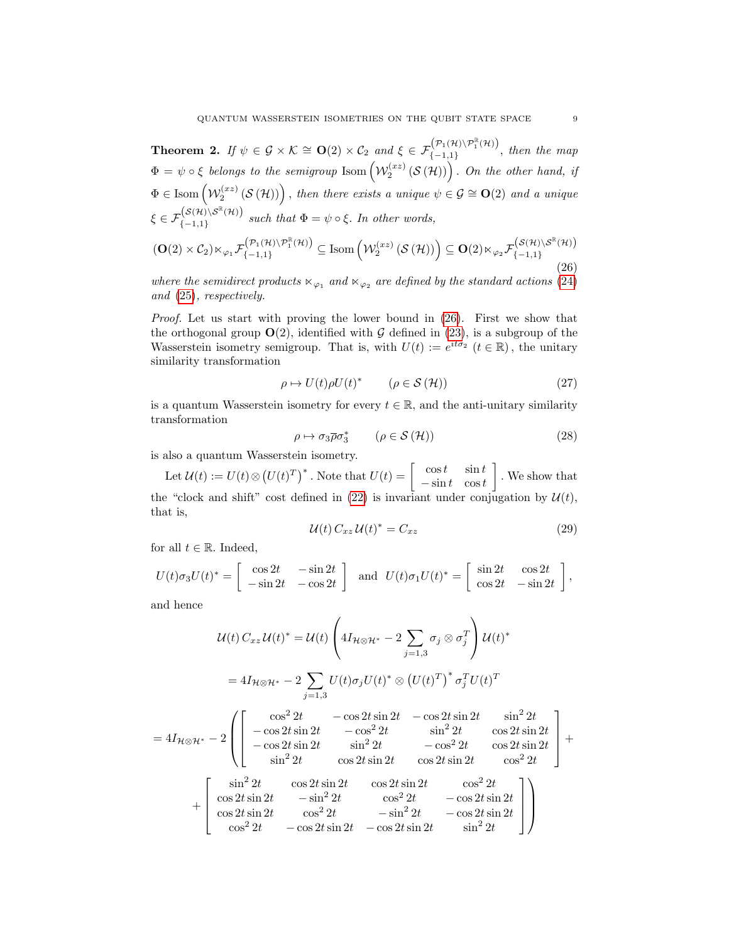<span id="page-8-0"></span>**Theorem 2.** If  $\psi \in \mathcal{G} \times \mathcal{K} \cong \mathbf{O}(2) \times \mathcal{C}_2$  and  $\xi \in \mathcal{F}_{\{-1,1\}}^{(\mathcal{P}_1(\mathcal{H}) \setminus \mathcal{P}_1^{\mathbb{R}}(\mathcal{H}))}$  $\{(-1,1)\}$ , then the map  $\Phi = \psi \circ \xi$  belongs to the semigroup  $\text{Isom}\left(\mathcal{W}^{(xz)}_2\left(\mathcal{S}\left(\mathcal{H}\right)\right)\right)$ . On the other hand, if  $\Phi \in \text{Isom}\left( \mathcal{W}^{(xz)}_2\left( \mathcal{S}\left(\mathcal{H}\right) \right) \right), \text{ then there exists a unique } \psi \in \mathcal{G} \cong \mathbf{O}(2) \text{ and a unique } \psi \in \mathcal{G}.$  $\xi \in \mathcal{F}_{\ell-1,1\,\mathcal{V}}^{\big(\mathcal{S}(\mathcal{H}) \setminus \mathcal{S}^{\mathbb{R}}(\mathcal{H})\big)}$  ${(-1,1)}$  such that  $\Phi = \psi \circ \xi$ . In other words,  $(\mathbf{O}(2)\times\mathcal{C}_2)\ltimes_{\varphi_1}\mathcal{F}^{\left(\mathcal{P}_1(\mathcal{H})\backslash\mathcal{P}_1^{\mathbb{R}}(\mathcal{H})\right)}_{\{-1,1\}}\subseteq\textnormal{Isom}\left(\mathcal{W}^{(xz)}_2\left(\mathcal{S}\left(\mathcal{H}\right)\right)\right)\subseteq\mathbf{O}(2)\ltimes_{\varphi_2}\mathcal{F}^{\left(\mathcal{S}(\mathcal{H})\backslash\mathcal{S}^{\mathbb{R}}(\mathcal{H})\right)}_{\{-1,1\}}$  $\{-1,1\}$ 

<span id="page-8-1"></span>where the semidirect products  $\ltimes_{\varphi_1}$  and  $\ltimes_{\varphi_2}$  are defined by the standard actions [\(24\)](#page-7-0) and [\(25\)](#page-7-1), respectively.

Proof. Let us start with proving the lower bound in [\(26\)](#page-8-1). First we show that the orthogonal group  $O(2)$ , identified with G defined in [\(23\)](#page-6-1), is a subgroup of the Wasserstein isometry semigroup. That is, with  $U(t) := e^{it\sigma_2}$   $(t \in \mathbb{R})$ , the unitary similarity transformation

$$
\rho \mapsto U(t)\rho U(t)^* \qquad (\rho \in \mathcal{S}(\mathcal{H})) \tag{27}
$$

is a quantum Wasserstein isometry for every  $t \in \mathbb{R}$ , and the anti-unitary similarity transformation

<span id="page-8-3"></span>
$$
\rho \mapsto \sigma_3 \overline{\rho} \sigma_3^* \qquad (\rho \in \mathcal{S}(\mathcal{H})) \tag{28}
$$

is also a quantum Wasserstein isometry.

Let  $\mathcal{U}(t) := U(t) \otimes (U(t)^T)^*$ . Note that  $U(t) = \begin{bmatrix} \cos t & \sin t \\ -\sin t & \cos t \end{bmatrix}$  $-\sin t$  cost . We show that the "clock and shift" cost defined in [\(22\)](#page-6-0) is invariant under conjugation by  $\mathcal{U}(t)$ , that is,

<span id="page-8-2"></span>
$$
\mathcal{U}(t) C_{xz} \mathcal{U}(t)^* = C_{xz} \tag{29}
$$

for all  $t \in \mathbb{R}$ . Indeed,

$$
U(t)\sigma_3 U(t)^* = \begin{bmatrix} \cos 2t & -\sin 2t \\ -\sin 2t & -\cos 2t \end{bmatrix}
$$
 and 
$$
U(t)\sigma_1 U(t)^* = \begin{bmatrix} \sin 2t & \cos 2t \\ \cos 2t & -\sin 2t \end{bmatrix}
$$
,

and hence

$$
\mathcal{U}(t) C_{xz} \mathcal{U}(t)^{*} = \mathcal{U}(t) \left( 4I_{\mathcal{H}\otimes\mathcal{H}^{*}} - 2 \sum_{j=1,3} \sigma_{j} \otimes \sigma_{j}^{T} \right) \mathcal{U}(t)^{*}
$$
  
\n
$$
= 4I_{\mathcal{H}\otimes\mathcal{H}^{*}} - 2 \sum_{j=1,3} U(t)\sigma_{j}U(t)^{*} \otimes (U(t)^{T})^{*} \sigma_{j}^{T}U(t)^{T}
$$
  
\n
$$
= 4I_{\mathcal{H}\otimes\mathcal{H}^{*}} - 2 \left( \begin{bmatrix} \cos^{2} 2t & -\cos 2t \sin 2t & -\cos 2t \sin 2t & \sin^{2} 2t \\ -\cos 2t \sin 2t & -\cos^{2} 2t & \sin^{2} 2t & \cos 2t \sin 2t \\ -\cos 2t \sin 2t & \sin^{2} 2t & -\cos^{2} 2t & \cos 2t \sin 2t \\ \sin^{2} 2t & \cos 2t \sin 2t & \cos 2t \sin 2t & \cos^{2} 2t \end{bmatrix} + \begin{bmatrix} \sin^{2} 2t & \cos 2t \sin 2t & \cos^{2} 2t \\ \cos 2t \sin 2t & -\sin^{2} 2t & -\cos^{2} 2t & -\cos 2t \sin 2t \\ \cos 2t \sin 2t & \cos^{2} 2t & -\sin^{2} 2t & -\cos 2t \sin 2t \\ \cos^{2} 2t & -\cos 2t \sin 2t & \sin^{2} 2t \end{bmatrix} \right)
$$

(26)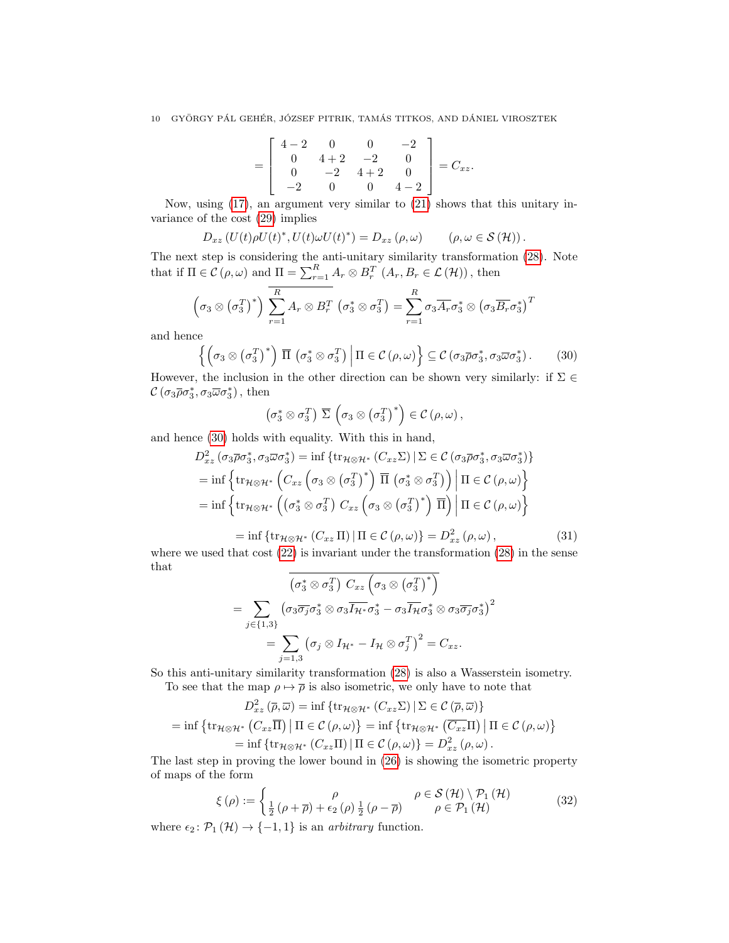$$
= \left[\begin{array}{cccc} 4-2 & 0 & 0 & -2 \\ 0 & 4+2 & -2 & 0 \\ 0 & -2 & 4+2 & 0 \\ -2 & 0 & 0 & 4-2 \end{array}\right] = C_{xz}.
$$

Now, using [\(17\)](#page-5-0), an argument very similar to [\(21\)](#page-6-2) shows that this unitary invariance of the cost [\(29\)](#page-8-2) implies

$$
D_{xz} (U(t)\rho U(t)^*, U(t)\omega U(t)^*) = D_{xz} (\rho, \omega) \qquad (\rho, \omega \in \mathcal{S}(\mathcal{H})).
$$

The next step is considering the anti-unitary similarity transformation [\(28\)](#page-8-3). Note that if  $\Pi \in \mathcal{C}(\rho, \omega)$  and  $\Pi = \sum_{r=1}^{R} A_r \otimes B_r^T (A_r, B_r \in \mathcal{L}(\mathcal{H}))$ , then

$$
\left(\sigma_3 \otimes \left(\sigma_3^T\right)^*\right) \overline{\sum_{r=1}^R A_r \otimes B_r^T} \left(\sigma_3^* \otimes \sigma_3^T\right) = \sum_{r=1}^R \sigma_3 \overline{A_r} \sigma_3^* \otimes \left(\sigma_3 \overline{B_r} \sigma_3^*\right)^T
$$

and hence

<span id="page-9-0"></span>
$$
\left\{ \left( \sigma_3 \otimes \left( \sigma_3^T \right)^* \right) \overline{\Pi} \left( \sigma_3^* \otimes \sigma_3^T \right) \middle| \Pi \in \mathcal{C} \left( \rho, \omega \right) \right\} \subseteq \mathcal{C} \left( \sigma_3 \overline{\rho} \sigma_3^*, \sigma_3 \overline{\omega} \sigma_3^* \right). \tag{30}
$$

However, the inclusion in the other direction can be shown very similarly: if  $\Sigma \in \mathbb{C}$  $\mathcal{C}\left(\sigma_3\overline{\rho}\sigma_3^*,\sigma_3\overline{\omega}\sigma_3^*\right)$ , then

$$
\left(\sigma_3^* \otimes \sigma_3^T\right) \, \overline{\Sigma} \, \left(\sigma_3 \otimes \left(\sigma_3^T\right)^*\right) \in \mathcal{C}\left(\rho, \omega\right),
$$

and hence [\(30\)](#page-9-0) holds with equality. With this in hand,

$$
D_{xz}^{2}(\sigma_{3}\overline{\rho}\sigma_{3}^{*},\sigma_{3}\overline{\omega}\sigma_{3}^{*}) = \inf \{ \text{tr}_{\mathcal{H}\otimes\mathcal{H}^{*}}(C_{xz}\Sigma) \mid \Sigma \in \mathcal{C}(\sigma_{3}\overline{\rho}\sigma_{3}^{*},\sigma_{3}\overline{\omega}\sigma_{3}^{*}) \}
$$
  
=  $\inf \{ \text{tr}_{\mathcal{H}\otimes\mathcal{H}^{*}}(C_{xz}(\sigma_{3}\otimes(\sigma_{3}^{T})^{*}) \overline{\Pi}(\sigma_{3}^{*}\otimes\sigma_{3}^{T}) ) \mid \Pi \in \mathcal{C}(\rho,\omega) \}$   
=  $\inf \{ \text{tr}_{\mathcal{H}\otimes\mathcal{H}^{*}}((\sigma_{3}^{*}\otimes\sigma_{3}^{T}) C_{xz}(\sigma_{3}\otimes(\sigma_{3}^{T})^{*}) \overline{\Pi}) \mid \Pi \in \mathcal{C}(\rho,\omega) \}$ 

 $= \inf \{ \operatorname{tr}_{\mathcal{H} \otimes \mathcal{H}^*} (C_{xz} \Pi) | \Pi \in \mathcal{C} (\rho, \omega) \} = D_{xz}^2 (\rho, \omega) ,$  (31)

where we used that cost  $(22)$  is invariant under the transformation  $(28)$  in the sense that

$$
\left(\sigma_3^* \otimes \sigma_3^T\right) C_{xz} \left(\sigma_3 \otimes \left(\sigma_3^T\right)^*\right)
$$
  
= 
$$
\sum_{j \in \{1,3\}} \left(\sigma_3 \overline{\sigma_j} \sigma_3^* \otimes \sigma_3 \overline{I_{\mathcal{H}^*}} \sigma_3^* - \sigma_3 \overline{I_{\mathcal{H}}} \sigma_3^* \otimes \sigma_3 \overline{\sigma_j} \sigma_3^*\right)^2
$$
  
= 
$$
\sum_{j=1,3} \left(\sigma_j \otimes I_{\mathcal{H}^*} - I_{\mathcal{H}} \otimes \sigma_j^T\right)^2 = C_{xz}.
$$

So this anti-unitary similarity transformation [\(28\)](#page-8-3) is also a Wasserstein isometry. To see that the map  $\rho \mapsto \overline{\rho}$  is also isometric, we only have to note that

$$
D_{xz}^{2}(\overline{\rho}, \overline{\omega}) = \inf \{ \operatorname{tr}_{\mathcal{H} \otimes \mathcal{H}^{*}} (C_{xz} \Sigma) \mid \Sigma \in \mathcal{C} (\overline{\rho}, \overline{\omega}) \}
$$
  
= 
$$
\inf \{ \operatorname{tr}_{\mathcal{H} \otimes \mathcal{H}^{*}} (C_{xz} \overline{\Pi}) \mid \Pi \in \mathcal{C} (\rho, \omega) \} = \inf \{ \operatorname{tr}_{\mathcal{H} \otimes \mathcal{H}^{*}} (\overline{C_{xz}} \Pi) \mid \Pi \in \mathcal{C} (\rho, \omega) \}
$$
  
= 
$$
\inf \{ \operatorname{tr}_{\mathcal{H} \otimes \mathcal{H}^{*}} (C_{xz} \Pi) \mid \Pi \in \mathcal{C} (\rho, \omega) \} = D_{xz}^{2}(\rho, \omega).
$$

The last step in proving the lower bound in [\(26\)](#page-8-1) is showing the isometric property of maps of the form

<span id="page-9-1"></span>
$$
\xi(\rho) := \begin{cases} \rho & \rho \in \mathcal{S}(\mathcal{H}) \setminus \mathcal{P}_1(\mathcal{H}) \\ \frac{1}{2} (\rho + \overline{\rho}) + \epsilon_2 (\rho) \frac{1}{2} (\rho - \overline{\rho}) & \rho \in \mathcal{P}_1(\mathcal{H}) \end{cases}
$$
(32)

where  $\epsilon_2$ :  $\mathcal{P}_1(\mathcal{H}) \rightarrow \{-1, 1\}$  is an *arbitrary* function.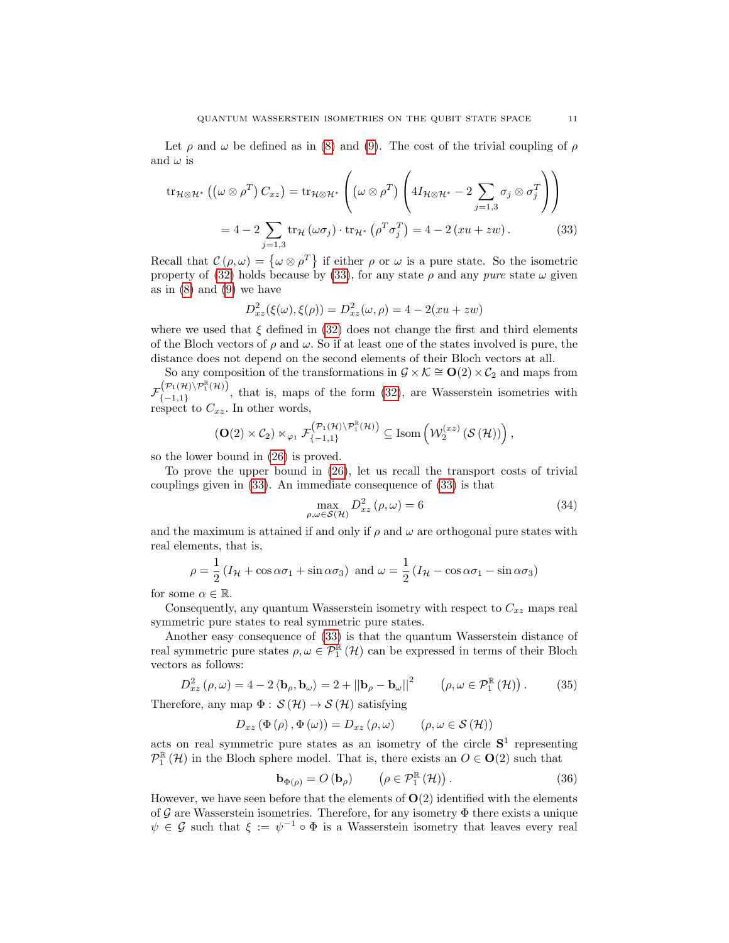Let  $\rho$  and  $\omega$  be defined as in [\(8\)](#page-3-4) and [\(9\)](#page-3-5). The cost of the trivial coupling of  $\rho$ and  $\omega$  is

<span id="page-10-0"></span>
$$
\operatorname{tr}_{\mathcal{H}\otimes\mathcal{H}^*}\left(\left(\omega\otimes\rho^T\right)C_{xz}\right) = \operatorname{tr}_{\mathcal{H}\otimes\mathcal{H}^*}\left(\left(\omega\otimes\rho^T\right)\left(4I_{\mathcal{H}\otimes\mathcal{H}^*} - 2\sum_{j=1,3}\sigma_j\otimes\sigma_j^T\right)\right)
$$

$$
= 4 - 2\sum_{j=1,3}\operatorname{tr}_{\mathcal{H}}\left(\omega\sigma_j\right)\cdot\operatorname{tr}_{\mathcal{H}^*}\left(\rho^T\sigma_j^T\right) = 4 - 2\left(xu + zw\right). \tag{33}
$$

Recall that  $\mathcal{C}(\rho,\omega) = {\omega \otimes \rho^T}$  if either  $\rho$  or  $\omega$  is a pure state. So the isometric property of [\(32\)](#page-9-1) holds because by [\(33\)](#page-10-0), for any state  $\rho$  and any *pure* state  $\omega$  given as in  $(8)$  and  $(9)$  we have

$$
D_{xz}^{2}(\xi(\omega), \xi(\rho)) = D_{xz}^{2}(\omega, \rho) = 4 - 2(xu + zw)
$$

where we used that  $\xi$  defined in [\(32\)](#page-9-1) does not change the first and third elements of the Bloch vectors of  $\rho$  and  $\omega$ . So if at least one of the states involved is pure, the distance does not depend on the second elements of their Bloch vectors at all.

So any composition of the transformations in  $\mathcal{G} \times \mathcal{K} \cong \mathbf{O}(2) \times \mathcal{C}_2$  and maps from  $\mathcal{F}^{\left(\mathcal{P}_1(\mathcal{H})\setminus\mathcal{P}_1^\mathbb{R}(\mathcal{H})\right)}_{I=1,1}$  $\{(-1,1)\}\$ , that is, maps of the form  $(32)$ , are Wasserstein isometries with respect to  $C_{xz}$ . In other words,

$$
\left(\mathbf{O}(2)\times\mathcal{C}_2\right)\ltimes_{\varphi_1}\mathcal{F}^{\left(\mathcal{P}_1(\mathcal{H})\setminus\mathcal{P}_1^\mathbb{R}(\mathcal{H})\right)}_{\{-1,1\}}\subseteq \mathrm{Isom}\left(\mathcal{W}^{(xz)}_2\left(\mathcal{S}\left(\mathcal{H}\right)\right)\right),
$$

so the lower bound in [\(26\)](#page-8-1) is proved.

To prove the upper bound in [\(26\)](#page-8-1), let us recall the transport costs of trivial couplings given in [\(33\)](#page-10-0). An immediate consequence of [\(33\)](#page-10-0) is that

$$
\max_{\rho,\omega \in \mathcal{S}(\mathcal{H})} D_{xz}^2(\rho,\omega) = 6
$$
\n(34)

and the maximum is attained if and only if  $\rho$  and  $\omega$  are orthogonal pure states with real elements, that is,

$$
\rho = \frac{1}{2} \left( I_{\mathcal{H}} + \cos \alpha \sigma_1 + \sin \alpha \sigma_3 \right) \text{ and } \omega = \frac{1}{2} \left( I_{\mathcal{H}} - \cos \alpha \sigma_1 - \sin \alpha \sigma_3 \right)
$$

for some  $\alpha \in \mathbb{R}$ .

Consequently, any quantum Wasserstein isometry with respect to  $C_{xz}$  maps real symmetric pure states to real symmetric pure states.

Another easy consequence of [\(33\)](#page-10-0) is that the quantum Wasserstein distance of real symmetric pure states  $\rho, \omega \in \mathcal{P}_1^{\mathbb{R}}(\mathcal{H})$  can be expressed in terms of their Bloch vectors as follows:

$$
D_{xz}^{2}(\rho,\omega) = 4 - 2 \langle \mathbf{b}_{\rho}, \mathbf{b}_{\omega} \rangle = 2 + ||\mathbf{b}_{\rho} - \mathbf{b}_{\omega}||^{2} \qquad (\rho, \omega \in \mathcal{P}_{1}^{\mathbb{R}}(\mathcal{H})). \tag{35}
$$

Therefore, any map  $\Phi : \mathcal{S}(\mathcal{H}) \to \mathcal{S}(\mathcal{H})$  satisfying

$$
D_{xz} (\Phi (\rho), \Phi (\omega)) = D_{xz} (\rho, \omega) \qquad (\rho, \omega \in \mathcal{S} (\mathcal{H}))
$$

acts on real symmetric pure states as an isometry of the circle  $S<sup>1</sup>$  representing  $\mathcal{P}_1^{\mathbb{R}}(\mathcal{H})$  in the Bloch sphere model. That is, there exists an  $O \in \mathbf{O}(2)$  such that

$$
\mathbf{b}_{\Phi(\rho)} = O\left(\mathbf{b}_{\rho}\right) \qquad \left(\rho \in \mathcal{P}_{1}^{\mathbb{R}}\left(\mathcal{H}\right)\right). \tag{36}
$$

However, we have seen before that the elements of  $O(2)$  identified with the elements of G are Wasserstein isometries. Therefore, for any isometry  $\Phi$  there exists a unique  $\psi \in \mathcal{G}$  such that  $\xi := \psi^{-1} \circ \Phi$  is a Wasserstein isometry that leaves every real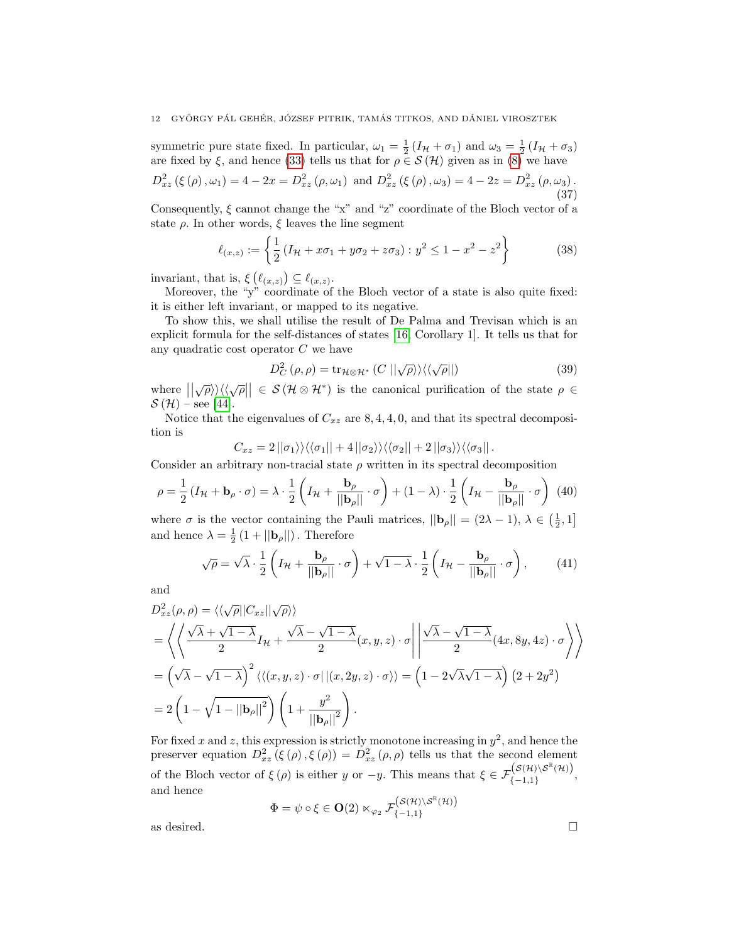symmetric pure state fixed. In particular,  $\omega_1 = \frac{1}{2} (I_H + \sigma_1)$  and  $\omega_3 = \frac{1}{2} (I_H + \sigma_3)$ are fixed by  $\xi$ , and hence [\(33\)](#page-10-0) tells us that for  $\rho \in \mathcal{S}(\mathcal{H})$  given as in [\(8\)](#page-3-4) we have

$$
D_{xz}^{2} (\xi (\rho), \omega_{1}) = 4 - 2x = D_{xz}^{2} (\rho, \omega_{1}) \text{ and } D_{xz}^{2} (\xi (\rho), \omega_{3}) = 4 - 2z = D_{xz}^{2} (\rho, \omega_{3}).
$$
\n(37)

Consequently,  $\xi$  cannot change the "x" and "z" coordinate of the Bloch vector of a state  $\rho$ . In other words,  $\xi$  leaves the line segment

$$
\ell_{(x,z)} := \left\{ \frac{1}{2} \left( I_{\mathcal{H}} + x \sigma_1 + y \sigma_2 + z \sigma_3 \right) : y^2 \le 1 - x^2 - z^2 \right\} \tag{38}
$$

invariant, that is,  $\xi(\ell_{(x,z)}) \subseteq \ell_{(x,z)}$ .

Moreover, the "y" coordinate of the Bloch vector of a state is also quite fixed: it is either left invariant, or mapped to its negative.

To show this, we shall utilise the result of De Palma and Trevisan which is an explicit formula for the self-distances of states [\[16,](#page-14-8) Corollary 1]. It tells us that for any quadratic cost operator C we have

$$
D_C^2(\rho, \rho) = \text{tr}_{\mathcal{H}\otimes\mathcal{H}^*}\left(C \left| |\sqrt{\rho} \rangle \right\rangle \left\langle \left\langle \sqrt{\rho} || \right\rangle \right\rangle \tag{39}
$$

where  $||\sqrt{\rho}\rangle\langle\langle\sqrt{\rho}|| \in \mathcal{S}(\mathcal{H}\otimes\mathcal{H}^*)$  is the canonical purification of the state  $\rho \in$  $\mathcal{S}(\mathcal{H})$  – see [\[44\]](#page-15-20).

Notice that the eigenvalues of  $C_{xz}$  are 8, 4, 4, 0, and that its spectral decomposition is

$$
C_{xz} = 2 ||\sigma_1\rangle\rangle\langle\langle\sigma_1|| + 4||\sigma_2\rangle\rangle\langle\langle\sigma_2|| + 2||\sigma_3\rangle\rangle\langle\langle\sigma_3||.
$$

Consider an arbitrary non-tracial state  $\rho$  written in its spectral decomposition

$$
\rho = \frac{1}{2} \left( I_{\mathcal{H}} + \mathbf{b}_{\rho} \cdot \boldsymbol{\sigma} \right) = \lambda \cdot \frac{1}{2} \left( I_{\mathcal{H}} + \frac{\mathbf{b}_{\rho}}{||\mathbf{b}_{\rho}||} \cdot \boldsymbol{\sigma} \right) + (1 - \lambda) \cdot \frac{1}{2} \left( I_{\mathcal{H}} - \frac{\mathbf{b}_{\rho}}{||\mathbf{b}_{\rho}||} \cdot \boldsymbol{\sigma} \right) \tag{40}
$$

where  $\sigma$  is the vector containing the Pauli matrices,  $||\mathbf{b}_{\rho}|| = (2\lambda - 1), \lambda \in \left(\frac{1}{2}, 1\right]$ and hence  $\lambda = \frac{1}{2} (1 + ||\mathbf{b}_{\rho}||)$ . Therefore

$$
\sqrt{\rho} = \sqrt{\lambda} \cdot \frac{1}{2} \left( I_{\mathcal{H}} + \frac{\mathbf{b}_{\rho}}{||\mathbf{b}_{\rho}||} \cdot \sigma \right) + \sqrt{1 - \lambda} \cdot \frac{1}{2} \left( I_{\mathcal{H}} - \frac{\mathbf{b}_{\rho}}{||\mathbf{b}_{\rho}||} \cdot \sigma \right),\tag{41}
$$

and

$$
D_{xz}^{2}(\rho,\rho) = \langle \langle \sqrt{\rho} || C_{xz} || \sqrt{\rho} \rangle \rangle
$$
  
=  $\langle \langle \sqrt{\lambda} + \sqrt{1 - \lambda} I_{\mathcal{H}} + \frac{\sqrt{\lambda} - \sqrt{1 - \lambda}}{2} (x, y, z) \cdot \sigma || \frac{\sqrt{\lambda} - \sqrt{1 - \lambda}}{2} (4x, 8y, 4z) \cdot \sigma \rangle \rangle$   
=  $(\sqrt{\lambda} - \sqrt{1 - \lambda})^{2} \langle \langle (x, y, z) \cdot \sigma || (x, 2y, z) \cdot \sigma \rangle \rangle = (1 - 2\sqrt{\lambda}\sqrt{1 - \lambda}) (2 + 2y^{2})$   
=  $2 (1 - \sqrt{1 - ||b_{\rho}||^{2}}) (1 + \frac{y^{2}}{||b_{\rho}||^{2}}).$ 

For fixed x and z, this expression is strictly monotone increasing in  $y^2$ , and hence the preserver equation  $D_{xz}^2(\xi(\rho), \xi(\rho)) = D_{xz}^2(\rho, \rho)$  tells us that the second element of the Bloch vector of  $\xi(\rho)$  is either y or  $-y$ . This means that  $\xi \in \mathcal{F}^{(S(\mathcal{H})\setminus \mathcal{S}^{\mathbb{R}}(\mathcal{H}))}_{I=1,1}$  $\{(-1,1\},\{-1,1\},\$ and hence

 $\Phi = \psi \circ \xi \in \mathbf{O}(2) \ltimes_{\varphi_2} \mathcal{F}_{\{-1,1\}}^{(\mathcal{S}(\mathcal{H}) \setminus \mathcal{S}^{\mathbb{R}}(\mathcal{H}))}$  $\{-1,1\}$ as desired.  $\Box$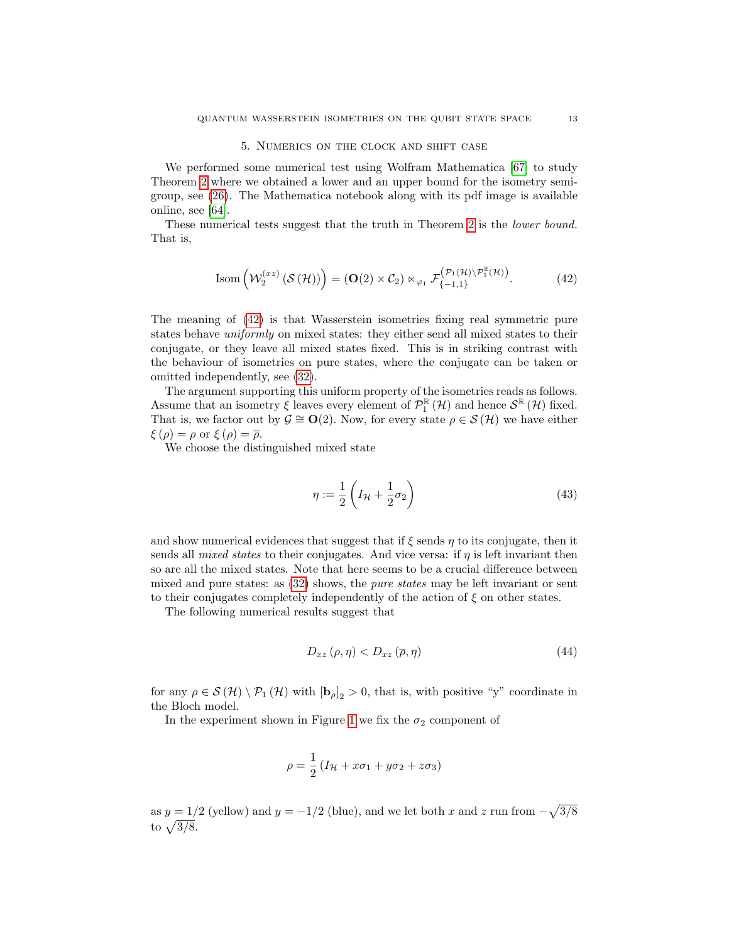#### 5. Numerics on the clock and shift case

<span id="page-12-0"></span>We performed some numerical test using Wolfram Mathematica [\[67\]](#page-16-20) to study Theorem [2](#page-8-0) where we obtained a lower and an upper bound for the isometry semigroup, see [\(26\)](#page-8-1). The Mathematica notebook along with its pdf image is available online, see [\[64\]](#page-16-21).

These numerical tests suggest that the truth in Theorem [2](#page-8-0) is the *lower bound*. That is,

<span id="page-12-1"></span>
$$
\text{Isom}\left(\mathcal{W}_2^{(xz)}\left(\mathcal{S}\left(\mathcal{H}\right)\right)\right) = \left(\mathbf{O}(2) \times \mathcal{C}_2\right) \ltimes_{\varphi_1} \mathcal{F}_{\{-1,1\}}^{\left(\mathcal{P}_1\left(\mathcal{H}\right)\setminus \mathcal{P}_1^{\mathbb{R}}\left(\mathcal{H}\right)\right)}.\tag{42}
$$

The meaning of [\(42\)](#page-12-1) is that Wasserstein isometries fixing real symmetric pure states behave uniformly on mixed states: they either send all mixed states to their conjugate, or they leave all mixed states fixed. This is in striking contrast with the behaviour of isometries on pure states, where the conjugate can be taken or omitted independently, see [\(32\)](#page-9-1).

The argument supporting this uniform property of the isometries reads as follows. Assume that an isometry  $\xi$  leaves every element of  $\mathcal{P}_{1}^{\mathbb{R}}(\mathcal{H})$  and hence  $\mathcal{S}^{\mathbb{R}}(\mathcal{H})$  fixed. That is, we factor out by  $\mathcal{G} \cong \mathbf{O}(2)$ . Now, for every state  $\rho \in \mathcal{S}(\mathcal{H})$  we have either  $\xi(\rho) = \rho$  or  $\xi(\rho) = \overline{\rho}$ .

We choose the distinguished mixed state

$$
\eta := \frac{1}{2} \left( I_{\mathcal{H}} + \frac{1}{2} \sigma_2 \right) \tag{43}
$$

and show numerical evidences that suggest that if  $\xi$  sends  $\eta$  to its conjugate, then it sends all *mixed states* to their conjugates. And vice versa: if  $\eta$  is left invariant then so are all the mixed states. Note that here seems to be a crucial difference between mixed and pure states: as [\(32\)](#page-9-1) shows, the pure states may be left invariant or sent to their conjugates completely independently of the action of  $\xi$  on other states.

The following numerical results suggest that

<span id="page-12-2"></span>
$$
D_{xz}(\rho,\eta) < D_{xz}(\overline{\rho},\eta) \tag{44}
$$

for any  $\rho \in \mathcal{S}(\mathcal{H}) \setminus \mathcal{P}_1(\mathcal{H})$  with  $[\mathbf{b}_{\rho}]_2 > 0$ , that is, with positive "y" coordinate in the Bloch model.

In the experiment shown in Figure [1](#page-13-0) we fix the  $\sigma_2$  component of

$$
\rho=\frac{1}{2}\left(I_{\mathcal{H}}+x\sigma_{1}+y\sigma_{2}+z\sigma_{3}\right)
$$

as  $y = 1/2$  (yellow) and  $y = -1/2$  (blue), and we let both x and z run from  $-\sqrt{3/8}$ to  $\sqrt{3/8}$ .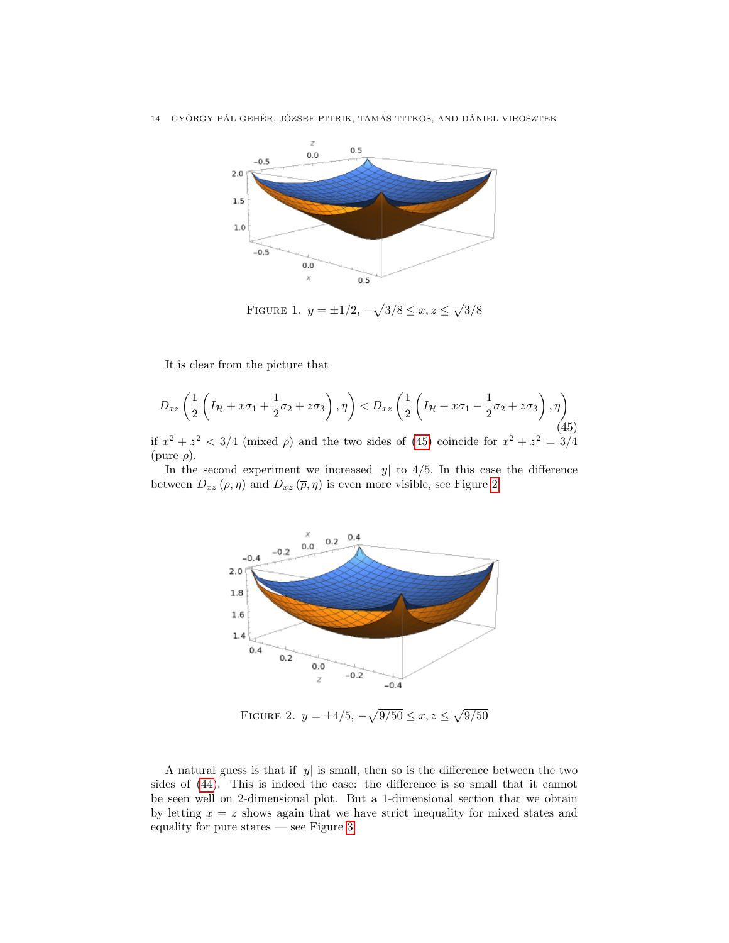

<span id="page-13-0"></span>FIGURE 1.  $y = \pm 1/2, -\sqrt{3/8} \le x, z \le \sqrt{3/8}$ 

It is clear from the picture that

<span id="page-13-1"></span>
$$
D_{xz}\left(\frac{1}{2}\left(I_H + x\sigma_1 + \frac{1}{2}\sigma_2 + z\sigma_3\right), \eta\right) < D_{xz}\left(\frac{1}{2}\left(I_H + x\sigma_1 - \frac{1}{2}\sigma_2 + z\sigma_3\right), \eta\right) \tag{45}
$$

if  $x^2 + z^2 < 3/4$  (mixed  $\rho$ ) and the two sides of [\(45\)](#page-13-1) coincide for  $x^2 + z^2 = 3/4$ (pure  $\rho$ ).

In the second experiment we increased  $|y|$  to 4/5. In this case the difference between  $D_{xz}(\rho, \eta)$  and  $D_{xz}(\overline{\rho}, \eta)$  is even more visible, see Figure [2.](#page-13-2)



<span id="page-13-2"></span>FIGURE 2.  $y = \pm 4/5, -\sqrt{9/50} \le x, z \le \sqrt{9/50}$ 

A natural guess is that if  $|y|$  is small, then so is the difference between the two sides of [\(44\)](#page-12-2). This is indeed the case: the difference is so small that it cannot be seen well on 2-dimensional plot. But a 1-dimensional section that we obtain by letting  $x = z$  shows again that we have strict inequality for mixed states and equality for pure states — see Figure [3.](#page-14-14)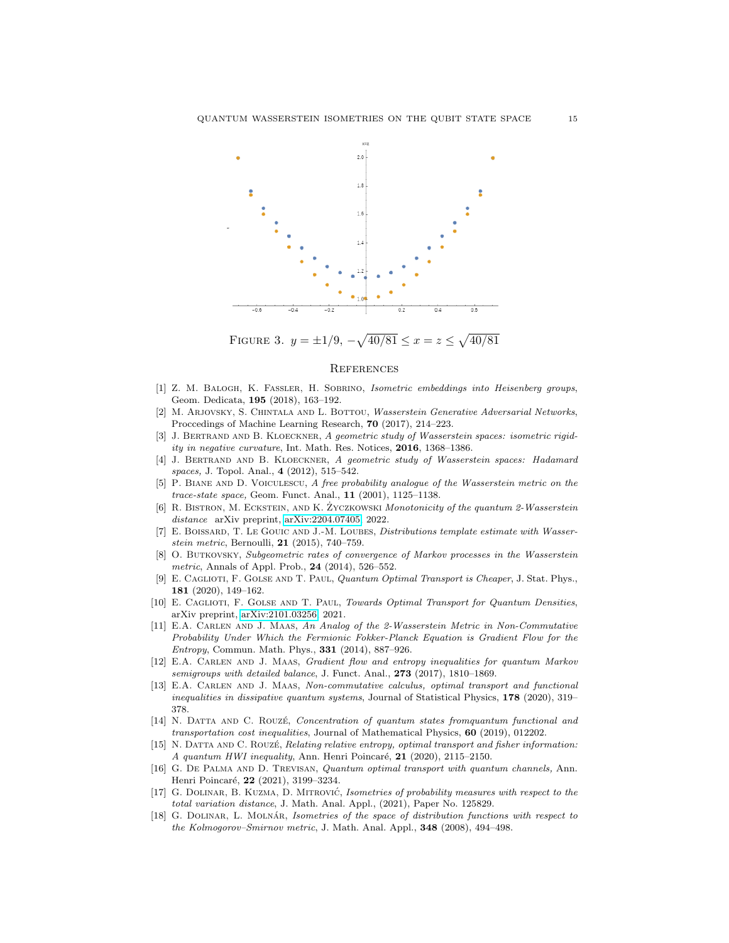

FIGURE 3.  $y = \pm 1/9$ ,  $-\sqrt{40/81} \le x = z \le \sqrt{40/81}$ 

## <span id="page-14-14"></span>**REFERENCES**

- <span id="page-14-10"></span>[1] Z. M. Balogh, K. Fassler, H. Sobrino, Isometric embeddings into Heisenberg groups, Geom. Dedicata, 195 (2018), 163–192.
- <span id="page-14-2"></span>[2] M. ARJOVSKY, S. CHINTALA AND L. BOTTOU, Wasserstein Generative Adversarial Networks, Proccedings of Machine Learning Research, 70 (2017), 214–223.
- <span id="page-14-11"></span>[3] J. BERTRAND AND B. KLOECKNER, A geometric study of Wasserstein spaces: isometric rigidity in negative curvature, Int. Math. Res. Notices, 2016, 1368–1386.
- [4] J. BERTRAND AND B. KLOECKNER, A geometric study of Wasserstein spaces: Hadamard spaces, J. Topol. Anal., 4 (2012), 515-542.
- <span id="page-14-3"></span>P. BIANE AND D. VOICULESCU, A free probability analogue of the Wasserstein metric on the trace-state space, Geom. Funct. Anal., 11 (2001), 1125–1138.
- <span id="page-14-9"></span>[6] R. BISTRON, M. ECKSTEIN, AND K. ZYCZKOWSKI Monotonicity of the quantum 2-Wasserstein distance arXiv preprint, [arXiv:2204.07405,](http://arxiv.org/abs/2204.07405) 2022.
- <span id="page-14-0"></span>[7] E. BOISSARD, T. LE GOUIC AND J.-M. LOUBES, *Distributions template estimate with Wasser*stein metric, Bernoulli, 21 (2015), 740–759.
- <span id="page-14-1"></span>[8] O. Butkovsky, Subgeometric rates of convergence of Markov processes in the Wasserstein metric, Annals of Appl. Prob., 24 (2014), 526–552.
- <span id="page-14-6"></span>[9] E. CAGLIOTI, F. GOLSE AND T. PAUL, Quantum Optimal Transport is Cheaper, J. Stat. Phys., 181 (2020), 149–162.
- <span id="page-14-7"></span>[10] E. CAGLIOTI, F. GOLSE AND T. PAUL, Towards Optimal Transport for Quantum Densities, arXiv preprint, [arXiv:2101.03256,](http://arxiv.org/abs/2101.03256) 2021.
- <span id="page-14-4"></span>[11] E.A. Carlen and J. Maas, An Analog of the 2-Wasserstein Metric in Non-Commutative Probability Under Which the Fermionic Fokker-Planck Equation is Gradient Flow for the Entropy, Commun. Math. Phys., 331 (2014), 887–926.
- [12] E.A. CARLEN AND J. MAAS, Gradient flow and entropy inequalities for quantum Markov semigroups with detailed balance, J. Funct. Anal., 273 (2017), 1810-1869.
- [13] E.A. Carlen and J. Maas, Non-commutative calculus, optimal transport and functional *inequalities in dissipative quantum systems, Journal of Statistical Physics,*  $178$  *(2020), 319–* 378.
- [14] N. DATTA AND C. ROUZÉ, Concentration of quantum states from quantum functional and transportation cost inequalities, Journal of Mathematical Physics, 60 (2019), 012202.
- <span id="page-14-5"></span>[15] N. DATTA AND C. ROUZÉ, Relating relative entropy, optimal transport and fisher information: A quantum HWI inequality, Ann. Henri Poincaré,  $21$  (2020), 2115–2150.
- <span id="page-14-8"></span>[16] G. De Palma and D. Trevisan, Quantum optimal transport with quantum channels, Ann. Henri Poincaré, 22 (2021), 3199-3234.
- <span id="page-14-12"></span>[17] G. DOLINAR, B. KUZMA, D. MITROVIĆ, Isometries of probability measures with respect to the total variation distance, J. Math. Anal. Appl., (2021), Paper No. 125829.
- <span id="page-14-13"></span>[18] G. DOLINAR, L. MOLNÁR, Isometries of the space of distribution functions with respect to the Kolmogorov–Smirnov metric, J. Math. Anal. Appl., 348 (2008), 494–498.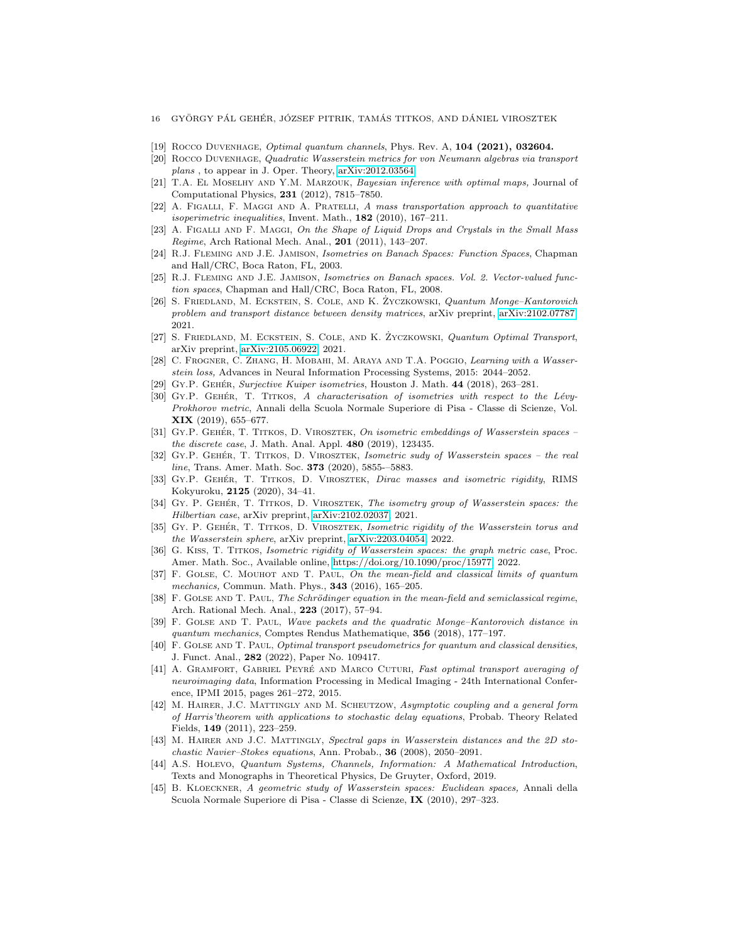- 16 GYÖRGY PÁL GEHÉR, JÓZSEF PITRIK, TAMÁS TITKOS, AND DÁNIEL VIROSZTEK
- <span id="page-15-11"></span>[19] ROCCO DUVENHAGE, *Optimal quantum channels*, Phys. Rev. A, **104 (2021), 032604.**
- <span id="page-15-12"></span>[20] Rocco Duvenhage, Quadratic Wasserstein metrics for von Neumann algebras via transport plans , to appear in J. Oper. Theory, [arXiv:2012.03564.](http://arxiv.org/abs/2012.03564)
- <span id="page-15-5"></span>[21] T.A. EL MOSELHY AND Y.M. MARZOUK, Bayesian inference with optimal maps, Journal of Computational Physics, 231 (2012), 7815–7850.
- <span id="page-15-2"></span>[22] A. Figalli, F. Maggi and A. Pratelli, A mass transportation approach to quantitative isoperimetric inequalities, Invent. Math.,  $182$  (2010), 167-211.
- <span id="page-15-3"></span>[23] A. FIGALLI AND F. MAGGI, On the Shape of Liquid Drops and Crystals in the Small Mass Regime, Arch Rational Mech. Anal., 201 (2011), 143-207.
- <span id="page-15-13"></span>[24] R.J. Fleming and J.E. Jamison, Isometries on Banach Spaces: Function Spaces, Chapman and Hall/CRC, Boca Raton, FL, 2003.
- <span id="page-15-14"></span>[25] R.J. Fleming and J.E. Jamison, Isometries on Banach spaces. Vol. 2. Vector-valued function spaces, Chapman and Hall/CRC, Boca Raton, FL, 2008.
- <span id="page-15-9"></span>[26] S. FRIEDLAND, M. ECKSTEIN, S. COLE, AND K. ŻYCZKOWSKI, Quantum Monge-Kantorovich problem and transport distance between density matrices, arXiv preprint, [arXiv:2102.07787,](http://arxiv.org/abs/2102.07787) 2021.
- <span id="page-15-10"></span>[27] S. FRIEDLAND, M. ECKSTEIN, S. COLE, AND K. ŻYCZKOWSKI, Quantum Optimal Transport, arXiv preprint, [arXiv:2105.06922,](http://arxiv.org/abs/2105.06922) 2021.
- <span id="page-15-6"></span>[28] C. Frogner, C. Zhang, H. Mobahi, M. Araya and T.A. Poggio, Learning with a Wasserstein loss, Advances in Neural Information Processing Systems, 2015: 2044–2052.
- <span id="page-15-15"></span>[29] GY.P. GEHÉR, Surjective Kuiper isometries, Houston J. Math. 44 (2018), 263-281.
- $[30]$  Gy.P. GEHÉR, T. TITKOS, A characterisation of isometries with respect to the Lévy-Prokhorov metric, Annali della Scuola Normale Superiore di Pisa - Classe di Scienze, Vol. XIX (2019), 655–677.
- [31] GY.P. GEHÉR, T. TITKOS, D. VIROSZTEK, On isometric embeddings of Wasserstein spaces the discrete case, J. Math. Anal. Appl. 480 (2019), 123435.
- <span id="page-15-18"></span>[32] GY.P. GEHÉR, T. TITKOS, D. VIROSZTEK, Isometric sudy of Wasserstein spaces – the real line, Trans. Amer. Math. Soc. **373** (2020), 5855-–5883.
- [33] GY.P. GEHÉR, T. TITKOS, D. VIROSZTEK, Dirac masses and isometric rigidity, RIMS Kokyuroku, 2125 (2020), 34–41.
- <span id="page-15-19"></span>[34] GY. P. GEHÉR, T. TITKOS, D. VIROSZTEK, The isometry group of Wasserstein spaces: the Hilbertian case, arXiv preprint, [arXiv:2102.02037,](http://arxiv.org/abs/2102.02037) 2021.
- [35] GY. P. GEHÉR, T. TITKOS, D. VIROSZTEK, Isometric rigidity of the Wasserstein torus and the Wasserstein sphere, arXiv preprint, [arXiv:2203.04054,](http://arxiv.org/abs/2203.04054) 2022.
- <span id="page-15-16"></span>[36] G. Kiss, T. Titkos, Isometric rigidity of Wasserstein spaces: the graph metric case, Proc. Amer. Math. Soc., Available online, [https://doi.org/10.1090/proc/15977,](https://doi.org/10.1090/proc/15977) 2022.
- <span id="page-15-7"></span>[37] F. GOLSE, C. MOUHOT AND T. PAUL, On the mean-field and classical limits of quantum mechanics, Commun. Math. Phys., 343 (2016), 165–205.
- [38] F. GOLSE AND T. PAUL, The Schrödinger equation in the mean-field and semiclassical regime, Arch. Rational Mech. Anal., 223 (2017), 57–94.
- [39] F. Golse and T. Paul, Wave packets and the quadratic Monge–Kantorovich distance in quantum mechanics, Comptes Rendus Mathematique, 356 (2018), 177–197.
- <span id="page-15-8"></span>[40] F. Golse and T. Paul, Optimal transport pseudometrics for quantum and classical densities, J. Funct. Anal., 282 (2022), Paper No. 109417.
- <span id="page-15-4"></span>[41] A. GRAMFORT, GABRIEL PEYRÉ AND MARCO CUTURI, Fast optimal transport averaging of neuroimaging data, Information Processing in Medical Imaging - 24th International Conference, IPMI 2015, pages 261–272, 2015.
- <span id="page-15-0"></span>[42] M. HAIRER, J.C. MATTINGLY AND M. SCHEUTZOW, Asymptotic coupling and a general form of Harris'theorem with applications to stochastic delay equations, Probab. Theory Related Fields, 149 (2011), 223–259.
- <span id="page-15-1"></span>[43] M. HAIRER AND J.C. MATTINGLY, Spectral gaps in Wasserstein distances and the 2D stochastic Navier–Stokes equations, Ann. Probab., 36 (2008), 2050–2091.
- <span id="page-15-20"></span>[44] A.S. Holevo, Quantum Systems, Channels, Information: A Mathematical Introduction, Texts and Monographs in Theoretical Physics, De Gruyter, Oxford, 2019.
- <span id="page-15-17"></span>[45] B. Kloeckner, A geometric study of Wasserstein spaces: Euclidean spaces, Annali della Scuola Normale Superiore di Pisa - Classe di Scienze, IX (2010), 297–323.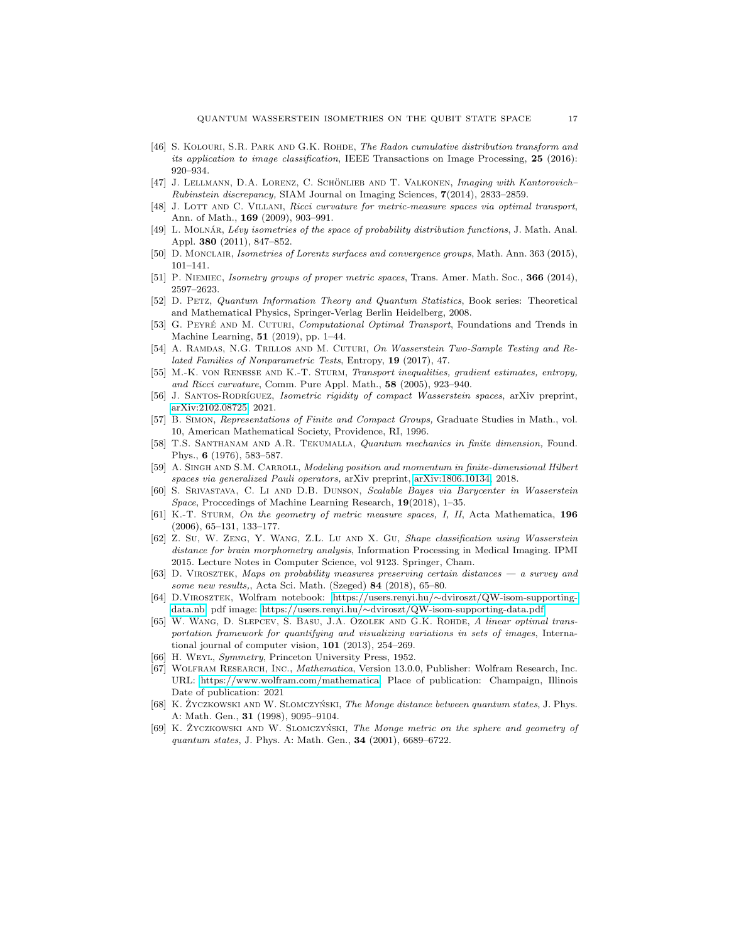- <span id="page-16-3"></span>[46] S. KOLOURI, S.R. PARK AND G.K. ROHDE, The Radon cumulative distribution transform and its application to image classification, IEEE Transactions on Image Processing, 25 (2016): 920–934.
- <span id="page-16-6"></span>[47] J. LELLMANN, D.A. LORENZ, C. SCHÖNLIEB AND T. VALKONEN, *Imaging with Kantorovich*– Rubinstein discrepancy, SIAM Journal on Imaging Sciences, 7(2014), 2833–2859.
- <span id="page-16-0"></span>[48] J. LOTT AND C. VILLANI, Ricci curvature for metric-measure spaces via optimal transport, Ann. of Math., 169 (2009), 903–991.
- <span id="page-16-13"></span>[49] L. MOLNÁR, Lévy isometries of the space of probability distribution functions, J. Math. Anal. Appl. 380 (2011), 847–852.
- [50] D. MONCLAIR, Isometries of Lorentz surfaces and convergence groups, Math. Ann. 363 (2015), 101–141.
- <span id="page-16-14"></span>[51] P. NIEMIEC, Isometry groups of proper metric spaces, Trans. Amer. Math. Soc., 366 (2014), 2597–2623.
- [52] D. Petz, Quantum Information Theory and Quantum Statistics, Book series: Theoretical and Mathematical Physics, Springer-Verlag Berlin Heidelberg, 2008.
- <span id="page-16-7"></span>[53] G. PEYRÉ AND M. CUTURI, *Computational Optimal Transport*, Foundations and Trends in Machine Learning, 51 (2019), pp. 1–44.
- <span id="page-16-8"></span>[54] A. Ramdas, N.G. Trillos and M. Cuturi, On Wasserstein Two-Sample Testing and Related Families of Nonparametric Tests, Entropy, 19 (2017), 47.
- <span id="page-16-1"></span>[55] M.-K. von Renesse and K.-T. Sturm, Transport inequalities, gradient estimates, entropy, and Ricci curvature, Comm. Pure Appl. Math., 58 (2005), 923–940.
- <span id="page-16-15"></span>[56] J. SANTOS-RODRÍGUEZ, Isometric rigidity of compact Wasserstein spaces, arXiv preprint, [arXiv:2102.08725,](http://arxiv.org/abs/2102.08725) 2021.
- <span id="page-16-17"></span>[57] B. Simon, Representations of Finite and Compact Groups, Graduate Studies in Math., vol. 10, American Mathematical Society, Providence, RI, 1996.
- <span id="page-16-18"></span>[58] T.S. Santhanam and A.R. Tekumalla, Quantum mechanics in finite dimension, Found. Phys., 6 (1976), 583–587.
- <span id="page-16-19"></span>[59] A. SINGH AND S.M. CARROLL, Modeling position and momentum in finite-dimensional Hilbert spaces via generalized Pauli operators, arXiv preprint, [arXiv:1806.10134,](http://arxiv.org/abs/1806.10134) 2018.
- <span id="page-16-9"></span>[60] S. Srivastava, C. Li and D.B. Dunson, Scalable Bayes via Barycenter in Wasserstein Space, Proccedings of Machine Learning Research, 19(2018), 1-35.
- <span id="page-16-2"></span>[61] K.-T. STURM, On the geometry of metric measure spaces, I, II, Acta Mathematica, 196 (2006), 65–131, 133–177.
- <span id="page-16-5"></span>[62] Z. Su, W. Zeng, Y. Wang, Z.L. Lu and X. Gu, Shape classification using Wasserstein distance for brain morphometry analysis, Information Processing in Medical Imaging. IPMI 2015. Lecture Notes in Computer Science, vol 9123. Springer, Cham.
- <span id="page-16-16"></span>[63] D. Virosztek, Maps on probability measures preserving certain distances — a survey and some new results,, Acta Sci. Math. (Szeged) 84 (2018), 65–80.
- <span id="page-16-21"></span>[64] D.Virosztek, Wolfram notebook: https://users.renyi.hu/∼[dviroszt/QW-isom-supporting](https://users.renyi.hu/~dviroszt/QW-isom-supporting-data.nb)[data.nb,](https://users.renyi.hu/~dviroszt/QW-isom-supporting-data.nb) pdf image: https://users.renyi.hu/∼[dviroszt/QW-isom-supporting-data.pdf](https://users.renyi.hu/~dviroszt/QW-isom-supporting-data.pdf)
- <span id="page-16-4"></span>[65] W. Wang, D. Slepcev, S. Basu, J.A. Ozolek and G.K. Rohde, A linear optimal transportation framework for quantifying and visualizing variations in sets of images, International journal of computer vision, 101 (2013), 254–269.
- <span id="page-16-12"></span>[66] H. WEYL, Symmetry, Princeton University Press, 1952.
- <span id="page-16-20"></span>[67] Wolfram Research, Inc., Mathematica, Version 13.0.0, Publisher: Wolfram Research, Inc. URL: [https://www.wolfram.com/mathematica,](https://www.wolfram.com/mathematica) Place of publication: Champaign, Illinois Date of publication: 2021
- <span id="page-16-10"></span>[68] K. ZYCZKOWSKI AND W. SLOMCZYŃSKI, The Monge distance between quantum states, J. Phys. A: Math. Gen., 31 (1998), 9095–9104.
- <span id="page-16-11"></span>[69] K. ZYCZKOWSKI AND W. SLOMCZYŃSKI, The Monge metric on the sphere and geometry of quantum states, J. Phys. A: Math. Gen., 34 (2001), 6689–6722.